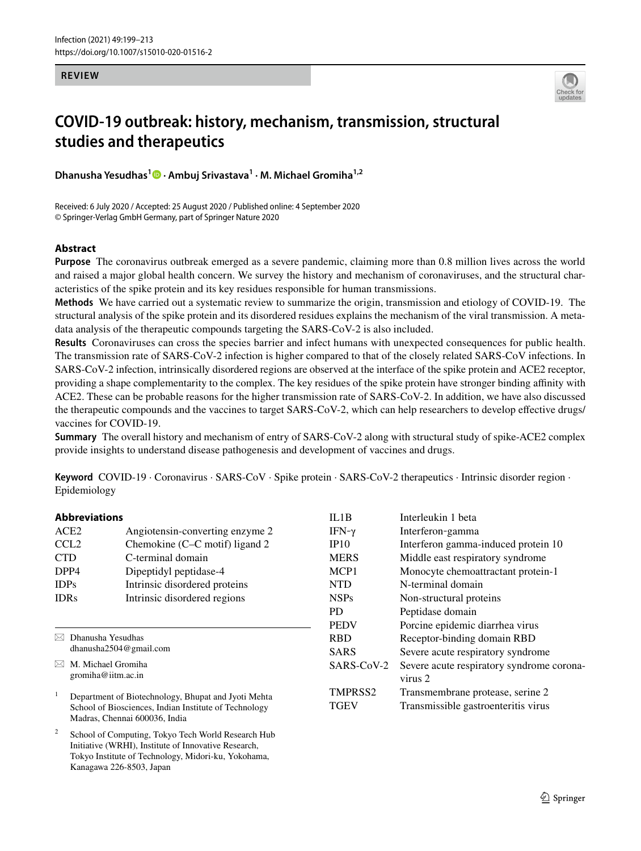### **REVIEW**



# **COVID‑19 outbreak: history, mechanism, transmission, structural studies and therapeutics**

**Dhanusha Yesudhas<sup>1</sup>  [·](http://orcid.org/0000-0003-4860-915X) Ambuj Srivastava<sup>1</sup> · M. Michael Gromiha1,2**

Received: 6 July 2020 / Accepted: 25 August 2020 / Published online: 4 September 2020 © Springer-Verlag GmbH Germany, part of Springer Nature 2020

# **Abstract**

**Purpose** The coronavirus outbreak emerged as a severe pandemic, claiming more than 0.8 million lives across the world and raised a major global health concern. We survey the history and mechanism of coronaviruses, and the structural characteristics of the spike protein and its key residues responsible for human transmissions.

**Methods** We have carried out a systematic review to summarize the origin, transmission and etiology of COVID-19. The structural analysis of the spike protein and its disordered residues explains the mechanism of the viral transmission. A metadata analysis of the therapeutic compounds targeting the SARS-CoV-2 is also included.

**Results** Coronaviruses can cross the species barrier and infect humans with unexpected consequences for public health. The transmission rate of SARS-CoV-2 infection is higher compared to that of the closely related SARS-CoV infections. In SARS-CoV-2 infection, intrinsically disordered regions are observed at the interface of the spike protein and ACE2 receptor, providing a shape complementarity to the complex. The key residues of the spike protein have stronger binding affinity with ACE2. These can be probable reasons for the higher transmission rate of SARS-CoV-2. In addition, we have also discussed the therapeutic compounds and the vaccines to target SARS-CoV-2, which can help researchers to develop effective drugs/ vaccines for COVID-19.

**Summary** The overall history and mechanism of entry of SARS-CoV-2 along with structural study of spike-ACE2 complex provide insights to understand disease pathogenesis and development of vaccines and drugs.

**Keyword** COVID-19 · Coronavirus · SARS-CoV · Spike protein · SARS-CoV-2 therapeutics · Intrinsic disorder region · Epidemiology

## **Abbreviations**

| Angiotensin-converting enzyme 2 |
|---------------------------------|
| Chemokine (C–C motif) ligand 2  |
| C-terminal domain               |
| Dipeptidyl peptidase-4          |
| Intrinsic disordered proteins   |
| Intrinsic disordered regions    |
|                                 |

 $\boxtimes$  Dhanusha Yesudhas dhanusha2504@gmail.com

 $\boxtimes$  M. Michael Gromiha gromiha@iitm.ac.in

1 Department of Biotechnology, Bhupat and Jyoti Mehta School of Biosciences, Indian Institute of Technology Madras, Chennai 600036, India

2 School of Computing, Tokyo Tech World Research Hub Initiative (WRHI), Institute of Innovative Research, Tokyo Institute of Technology, Midori-ku, Yokohama, Kanagawa 226-8503, Japan

| IL1B                | Interleukin 1 beta                        |
|---------------------|-------------------------------------------|
| IFN-γ               | Interferon-gamma                          |
| IP10                | Interferon gamma-induced protein 10       |
| <b>MERS</b>         | Middle east respiratory syndrome          |
| MCP <sub>1</sub>    | Monocyte chemoattractant protein-1        |
| <b>NTD</b>          | N-terminal domain                         |
| <b>NSPs</b>         | Non-structural proteins                   |
| PD.                 | Peptidase domain                          |
| <b>PEDV</b>         | Porcine epidemic diarrhea virus           |
| <b>RBD</b>          | Receptor-binding domain RBD               |
| <b>SARS</b>         | Severe acute respiratory syndrome         |
| SARS-CoV-2          | Severe acute respiratory syndrome corona- |
|                     | virus 2                                   |
| TMPRSS <sub>2</sub> | Transmembrane protease, serine 2          |
| <b>TGEV</b>         | Transmissible gastroenteritis virus       |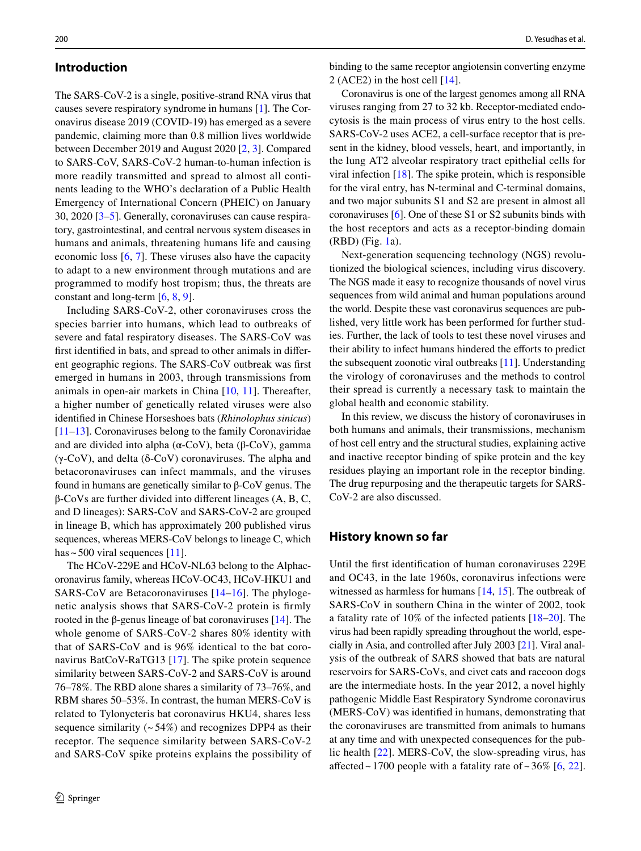## **Introduction**

The SARS-CoV-2 is a single, positive-strand RNA virus that causes severe respiratory syndrome in humans [\[1](#page-10-0)]. The Coronavirus disease 2019 (COVID-19) has emerged as a severe pandemic, claiming more than 0.8 million lives worldwide between December 2019 and August 2020 [[2,](#page-10-1) [3\]](#page-10-2). Compared to SARS-CoV, SARS-CoV-2 human-to-human infection is more readily transmitted and spread to almost all continents leading to the WHO's declaration of a Public Health Emergency of International Concern (PHEIC) on January 30, 2020 [[3–](#page-10-2)[5\]](#page-10-3). Generally, coronaviruses can cause respiratory, gastrointestinal, and central nervous system diseases in humans and animals, threatening humans life and causing economic loss [[6,](#page-10-4) [7](#page-10-5)]. These viruses also have the capacity to adapt to a new environment through mutations and are programmed to modify host tropism; thus, the threats are constant and long-term [\[6](#page-10-4), [8](#page-10-6), [9](#page-10-7)].

Including SARS-CoV-2, other coronaviruses cross the species barrier into humans, which lead to outbreaks of severe and fatal respiratory diseases. The SARS-CoV was first identified in bats, and spread to other animals in different geographic regions. The SARS-CoV outbreak was first emerged in humans in 2003, through transmissions from animals in open-air markets in China [[10,](#page-10-8) [11](#page-10-9)]. Thereafter, a higher number of genetically related viruses were also identified in Chinese Horseshoes bats (*Rhinolophus sinicus*) [\[11–](#page-10-9)[13\]](#page-10-10). Coronaviruses belong to the family Coronaviridae and are divided into alpha ( $α$ -CoV), beta ( $β$ -CoV), gamma (γ-CoV), and delta (δ-CoV) coronaviruses. The alpha and betacoronaviruses can infect mammals, and the viruses found in humans are genetically similar to β-CoV genus. The β-CoVs are further divided into different lineages (A, B, C, and D lineages): SARS-CoV and SARS-CoV-2 are grouped in lineage B, which has approximately 200 published virus sequences, whereas MERS-CoV belongs to lineage C, which has  $\sim$  500 viral sequences [[11\]](#page-10-9).

The HCoV-229E and HCoV-NL63 belong to the Alphacoronavirus family, whereas HCoV-OC43, HCoV-HKU1 and SARS-CoV are Betacoronaviruses [[14–](#page-10-11)[16](#page-10-12)]. The phylogenetic analysis shows that SARS-CoV-2 protein is firmly rooted in the β-genus lineage of bat coronaviruses  $[14]$  $[14]$ . The whole genome of SARS-CoV-2 shares 80% identity with that of SARS-CoV and is 96% identical to the bat coronavirus BatCoV-RaTG13 [[17](#page-10-13)]. The spike protein sequence similarity between SARS-CoV-2 and SARS-CoV is around 76–78%. The RBD alone shares a similarity of 73–76%, and RBM shares 50–53%. In contrast, the human MERS-CoV is related to Tylonycteris bat coronavirus HKU4, shares less sequence similarity  $(-54%)$  and recognizes DPP4 as their receptor. The sequence similarity between SARS-CoV-2 and SARS-CoV spike proteins explains the possibility of binding to the same receptor angiotensin converting enzyme 2 (ACE2) in the host cell [[14\]](#page-10-11).

Coronavirus is one of the largest genomes among all RNA viruses ranging from 27 to 32 kb. Receptor-mediated endocytosis is the main process of virus entry to the host cells. SARS-CoV-2 uses ACE2, a cell-surface receptor that is present in the kidney, blood vessels, heart, and importantly, in the lung AT2 alveolar respiratory tract epithelial cells for viral infection  $[18]$  $[18]$ . The spike protein, which is responsible for the viral entry, has N-terminal and C-terminal domains, and two major subunits S1 and S2 are present in almost all coronaviruses [[6\]](#page-10-4). One of these S1 or S2 subunits binds with the host receptors and acts as a receptor-binding domain (RBD) (Fig. [1a](#page-2-0)).

Next-generation sequencing technology (NGS) revolutionized the biological sciences, including virus discovery. The NGS made it easy to recognize thousands of novel virus sequences from wild animal and human populations around the world. Despite these vast coronavirus sequences are published, very little work has been performed for further studies. Further, the lack of tools to test these novel viruses and their ability to infect humans hindered the efforts to predict the subsequent zoonotic viral outbreaks [[11\]](#page-10-9). Understanding the virology of coronaviruses and the methods to control their spread is currently a necessary task to maintain the global health and economic stability.

In this review, we discuss the history of coronaviruses in both humans and animals, their transmissions, mechanism of host cell entry and the structural studies, explaining active and inactive receptor binding of spike protein and the key residues playing an important role in the receptor binding. The drug repurposing and the therapeutic targets for SARS-CoV-2 are also discussed.

# **History known so far**

Until the first identification of human coronaviruses 229E and OC43, in the late 1960s, coronavirus infections were witnessed as harmless for humans [[14,](#page-10-11) [15](#page-10-15)]. The outbreak of SARS-CoV in southern China in the winter of 2002, took a fatality rate of 10% of the infected patients [\[18–](#page-10-14)[20\]](#page-10-16). The virus had been rapidly spreading throughout the world, especially in Asia, and controlled after July 2003 [[21](#page-10-17)]. Viral analysis of the outbreak of SARS showed that bats are natural reservoirs for SARS-CoVs, and civet cats and raccoon dogs are the intermediate hosts. In the year 2012, a novel highly pathogenic Middle East Respiratory Syndrome coronavirus (MERS-CoV) was identified in humans, demonstrating that the coronaviruses are transmitted from animals to humans at any time and with unexpected consequences for the public health [[22\]](#page-10-18). MERS-CoV, the slow-spreading virus, has affected ~ 1700 people with a fatality rate of ~  $36\%$  [[6,](#page-10-4) [22](#page-10-18)].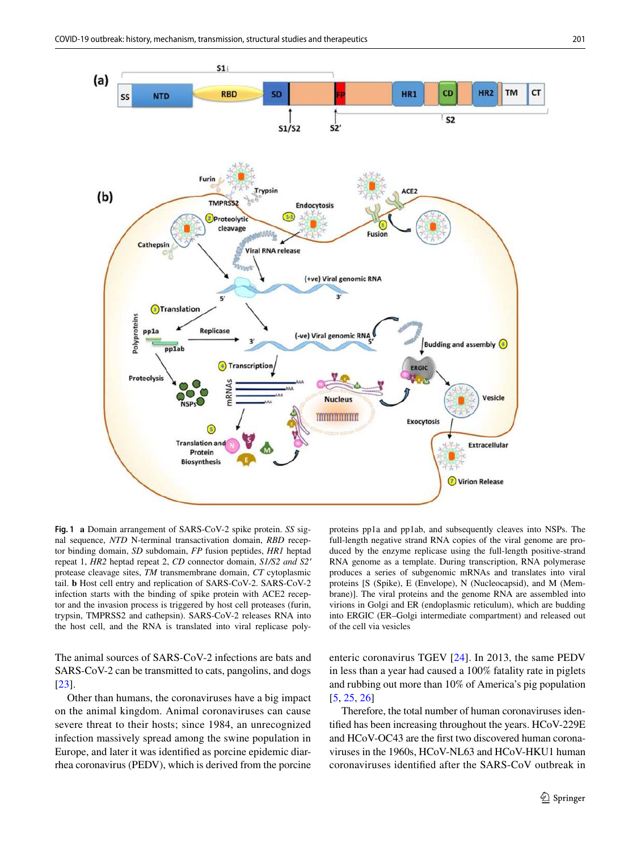

<span id="page-2-0"></span>**Fig. 1 a** Domain arrangement of SARS-CoV-2 spike protein. *SS* signal sequence, *NTD* N-terminal transactivation domain, *RBD* receptor binding domain, *SD* subdomain, *FP* fusion peptides, *HR1* heptad repeat 1, *HR2* heptad repeat 2, *CD* connector domain, *S1/S2 and S2′* protease cleavage sites, *TM* transmembrane domain, *CT* cytoplasmic tail. **b** Host cell entry and replication of SARS-CoV-2. SARS-CoV-2 infection starts with the binding of spike protein with ACE2 receptor and the invasion process is triggered by host cell proteases (furin, trypsin, TMPRSS2 and cathepsin). SARS-CoV-2 releases RNA into the host cell, and the RNA is translated into viral replicase poly-

The animal sources of SARS-CoV-2 infections are bats and SARS-CoV-2 can be transmitted to cats, pangolins, and dogs [\[23\]](#page-10-19).

Other than humans, the coronaviruses have a big impact on the animal kingdom. Animal coronaviruses can cause severe threat to their hosts; since 1984, an unrecognized infection massively spread among the swine population in Europe, and later it was identified as porcine epidemic diarrhea coronavirus (PEDV), which is derived from the porcine proteins pp1a and pp1ab, and subsequently cleaves into NSPs. The full-length negative strand RNA copies of the viral genome are produced by the enzyme replicase using the full-length positive-strand RNA genome as a template. During transcription, RNA polymerase produces a series of subgenomic mRNAs and translates into viral proteins [S (Spike), E (Envelope), N (Nucleocapsid), and M (Membrane)]. The viral proteins and the genome RNA are assembled into virions in Golgi and ER (endoplasmic reticulum), which are budding into ERGIC (ER–Golgi intermediate compartment) and released out of the cell via vesicles

enteric coronavirus TGEV [[24](#page-10-20)]. In 2013, the same PEDV in less than a year had caused a 100% fatality rate in piglets and rubbing out more than 10% of America's pig population [[5,](#page-10-3) [25,](#page-10-21) [26\]](#page-10-22)

Therefore, the total number of human coronaviruses identified has been increasing throughout the years. HCoV-229E and HCoV-OC43 are the first two discovered human coronaviruses in the 1960s, HCoV-NL63 and HCoV-HKU1 human coronaviruses identified after the SARS-CoV outbreak in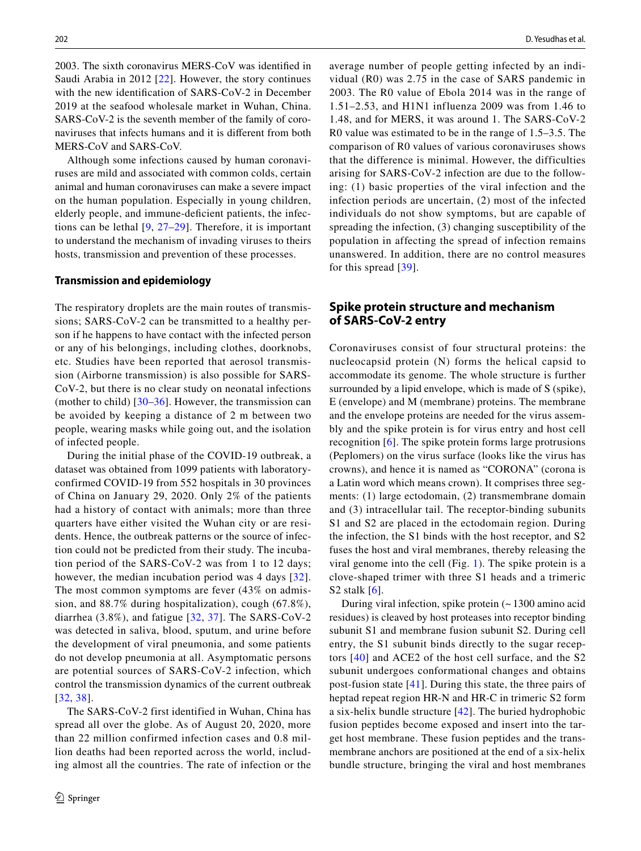2003. The sixth coronavirus MERS-CoV was identified in Saudi Arabia in 2012 [\[22\]](#page-10-18). However, the story continues with the new identification of SARS-CoV-2 in December 2019 at the seafood wholesale market in Wuhan, China. SARS-CoV-2 is the seventh member of the family of coronaviruses that infects humans and it is different from both MERS-CoV and SARS-CoV.

Although some infections caused by human coronaviruses are mild and associated with common colds, certain animal and human coronaviruses can make a severe impact on the human population. Especially in young children, elderly people, and immune-deficient patients, the infections can be lethal [\[9,](#page-10-7) [27–](#page-10-23)[29\]](#page-10-24). Therefore, it is important to understand the mechanism of invading viruses to theirs hosts, transmission and prevention of these processes.

## **Transmission and epidemiology**

The respiratory droplets are the main routes of transmissions; SARS-CoV-2 can be transmitted to a healthy person if he happens to have contact with the infected person or any of his belongings, including clothes, doorknobs, etc. Studies have been reported that aerosol transmission (Airborne transmission) is also possible for SARS-CoV-2, but there is no clear study on neonatal infections (mother to child)  $\left[30-36\right]$  $\left[30-36\right]$  $\left[30-36\right]$ . However, the transmission can be avoided by keeping a distance of 2 m between two people, wearing masks while going out, and the isolation of infected people.

During the initial phase of the COVID-19 outbreak, a dataset was obtained from 1099 patients with laboratoryconfirmed COVID-19 from 552 hospitals in 30 provinces of China on January 29, 2020. Only 2% of the patients had a history of contact with animals; more than three quarters have either visited the Wuhan city or are residents. Hence, the outbreak patterns or the source of infection could not be predicted from their study. The incubation period of the SARS-CoV-2 was from 1 to 12 days; however, the median incubation period was 4 days [[32](#page-11-1)]. The most common symptoms are fever (43% on admission, and 88.7% during hospitalization), cough (67.8%), diarrhea  $(3.8\%)$ , and fatigue  $[32, 37]$  $[32, 37]$  $[32, 37]$  $[32, 37]$ . The SARS-CoV-2 was detected in saliva, blood, sputum, and urine before the development of viral pneumonia, and some patients do not develop pneumonia at all. Asymptomatic persons are potential sources of SARS-CoV-2 infection, which control the transmission dynamics of the current outbreak [[32](#page-11-1), [38\]](#page-11-3).

The SARS-CoV-2 first identified in Wuhan, China has spread all over the globe. As of August 20, 2020, more than 22 million confirmed infection cases and 0.8 million deaths had been reported across the world, including almost all the countries. The rate of infection or the average number of people getting infected by an individual (R0) was 2.75 in the case of SARS pandemic in 2003. The R0 value of Ebola 2014 was in the range of 1.51–2.53, and H1N1 influenza 2009 was from 1.46 to 1.48, and for MERS, it was around 1. The SARS-CoV-2 R0 value was estimated to be in the range of 1.5–3.5. The comparison of R0 values of various coronaviruses shows that the difference is minimal. However, the difficulties arising for SARS-CoV-2 infection are due to the following: (1) basic properties of the viral infection and the infection periods are uncertain, (2) most of the infected individuals do not show symptoms, but are capable of spreading the infection, (3) changing susceptibility of the population in affecting the spread of infection remains unanswered. In addition, there are no control measures for this spread [[39](#page-11-4)].

# **Spike protein structure and mechanism of SARS‑CoV‑2 entry**

Coronaviruses consist of four structural proteins: the nucleocapsid protein (N) forms the helical capsid to accommodate its genome. The whole structure is further surrounded by a lipid envelope, which is made of S (spike), E (envelope) and M (membrane) proteins. The membrane and the envelope proteins are needed for the virus assembly and the spike protein is for virus entry and host cell recognition [[6\]](#page-10-4). The spike protein forms large protrusions (Peplomers) on the virus surface (looks like the virus has crowns), and hence it is named as "CORONA" (corona is a Latin word which means crown). It comprises three segments: (1) large ectodomain, (2) transmembrane domain and (3) intracellular tail. The receptor-binding subunits S1 and S2 are placed in the ectodomain region. During the infection, the S1 binds with the host receptor, and S2 fuses the host and viral membranes, thereby releasing the viral genome into the cell (Fig. [1\)](#page-2-0). The spike protein is a clove-shaped trimer with three S1 heads and a trimeric S2 stalk [[6\]](#page-10-4).

During viral infection, spike protein (~ 1300 amino acid residues) is cleaved by host proteases into receptor binding subunit S1 and membrane fusion subunit S2. During cell entry, the S1 subunit binds directly to the sugar receptors [[40\]](#page-11-5) and ACE2 of the host cell surface, and the S2 subunit undergoes conformational changes and obtains post-fusion state [[41](#page-11-6)]. During this state, the three pairs of heptad repeat region HR-N and HR-C in trimeric S2 form a six-helix bundle structure [[42\]](#page-11-7). The buried hydrophobic fusion peptides become exposed and insert into the target host membrane. These fusion peptides and the transmembrane anchors are positioned at the end of a six-helix bundle structure, bringing the viral and host membranes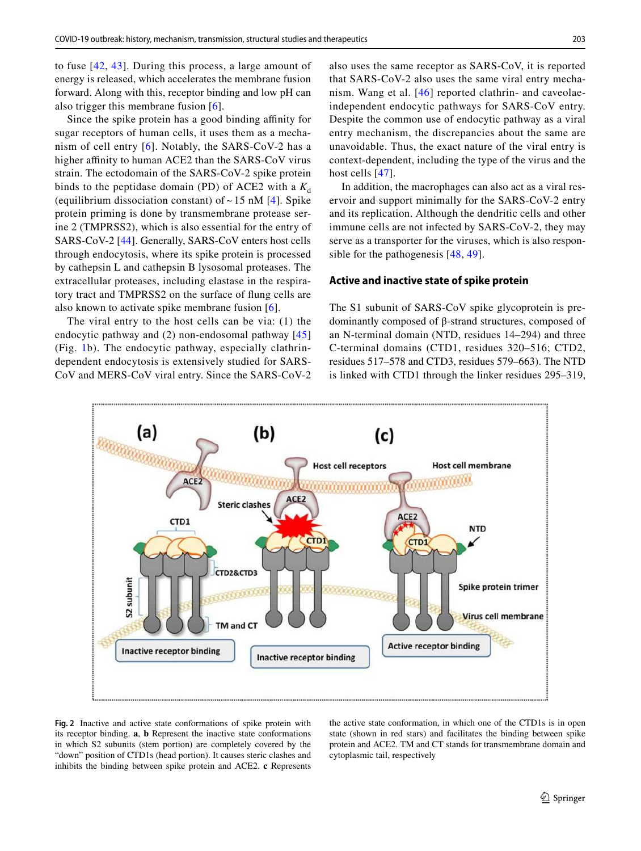to fuse [[42,](#page-11-7) [43](#page-11-8)]. During this process, a large amount of energy is released, which accelerates the membrane fusion forward. Along with this, receptor binding and low pH can also trigger this membrane fusion [\[6\]](#page-10-4).

Since the spike protein has a good binding affinity for sugar receptors of human cells, it uses them as a mechanism of cell entry  $[6]$  $[6]$ . Notably, the SARS-CoV-2 has a higher affinity to human ACE2 than the SARS-CoV virus strain. The ectodomain of the SARS-CoV-2 spike protein binds to the peptidase domain (PD) of ACE2 with a  $K_d$ (equilibrium dissociation constant) of  $\sim$  15 nM [\[4\]](#page-10-26). Spike protein priming is done by transmembrane protease serine 2 (TMPRSS2), which is also essential for the entry of SARS-CoV-2 [\[44](#page-11-9)]. Generally, SARS-CoV enters host cells through endocytosis, where its spike protein is processed by cathepsin L and cathepsin B lysosomal proteases. The extracellular proteases, including elastase in the respiratory tract and TMPRSS2 on the surface of flung cells are also known to activate spike membrane fusion [[6\]](#page-10-4).

The viral entry to the host cells can be via: (1) the endocytic pathway and (2) non-endosomal pathway [\[45\]](#page-11-10) (Fig. [1](#page-2-0)b). The endocytic pathway, especially clathrindependent endocytosis is extensively studied for SARS-CoV and MERS-CoV viral entry. Since the SARS-CoV-2 also uses the same receptor as SARS-CoV, it is reported that SARS-CoV-2 also uses the same viral entry mechanism. Wang et al. [[46\]](#page-11-11) reported clathrin- and caveolaeindependent endocytic pathways for SARS-CoV entry. Despite the common use of endocytic pathway as a viral entry mechanism, the discrepancies about the same are unavoidable. Thus, the exact nature of the viral entry is context-dependent, including the type of the virus and the host cells [\[47\]](#page-11-12).

In addition, the macrophages can also act as a viral reservoir and support minimally for the SARS-CoV-2 entry and its replication. Although the dendritic cells and other immune cells are not infected by SARS-CoV-2, they may serve as a transporter for the viruses, which is also responsible for the pathogenesis [\[48,](#page-11-13) [49](#page-11-14)].

## **Active and inactive state of spike protein**

The S1 subunit of SARS-CoV spike glycoprotein is predominantly composed of β-strand structures, composed of an N-terminal domain (NTD, residues 14–294) and three C-terminal domains (CTD1, residues 320–516; CTD2, residues 517–578 and CTD3, residues 579–663). The NTD is linked with CTD1 through the linker residues 295–319,



<span id="page-4-0"></span>**Fig. 2** Inactive and active state conformations of spike protein with its receptor binding. **a**, **b** Represent the inactive state conformations in which S2 subunits (stem portion) are completely covered by the "down" position of CTD1s (head portion). It causes steric clashes and inhibits the binding between spike protein and ACE2. **c** Represents

the active state conformation, in which one of the CTD1s is in open state (shown in red stars) and facilitates the binding between spike protein and ACE2. TM and CT stands for transmembrane domain and cytoplasmic tail, respectively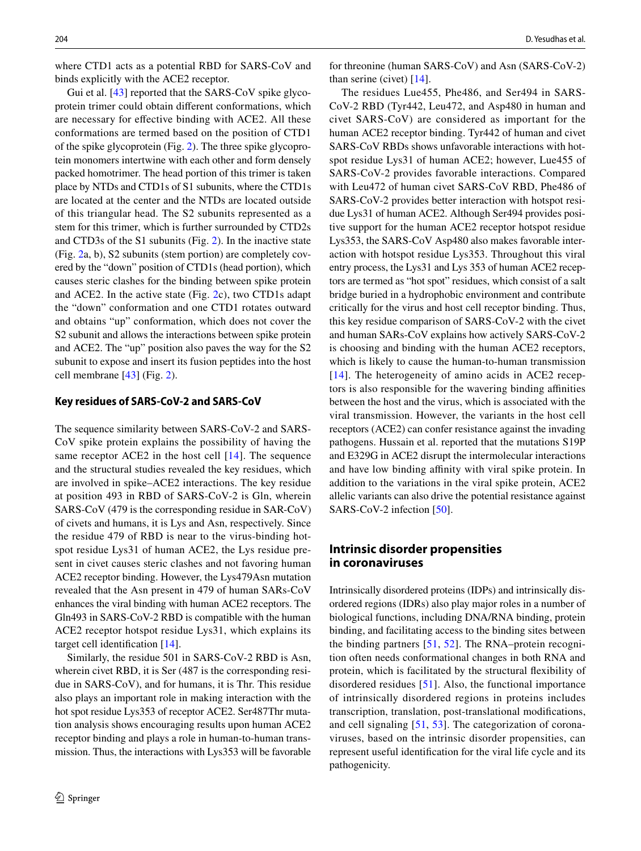where CTD1 acts as a potential RBD for SARS-CoV and binds explicitly with the ACE2 receptor.

Gui et al. [\[43](#page-11-8)] reported that the SARS-CoV spike glycoprotein trimer could obtain different conformations, which are necessary for effective binding with ACE2. All these conformations are termed based on the position of CTD1 of the spike glycoprotein (Fig. [2\)](#page-4-0). The three spike glycoprotein monomers intertwine with each other and form densely packed homotrimer. The head portion of this trimer is taken place by NTDs and CTD1s of S1 subunits, where the CTD1s are located at the center and the NTDs are located outside of this triangular head. The S2 subunits represented as a stem for this trimer, which is further surrounded by CTD2s and CTD3s of the S1 subunits (Fig. [2\)](#page-4-0). In the inactive state (Fig. [2a](#page-4-0), b), S2 subunits (stem portion) are completely covered by the "down" position of CTD1s (head portion), which causes steric clashes for the binding between spike protein and ACE2. In the active state (Fig. [2](#page-4-0)c), two CTD1s adapt the "down" conformation and one CTD1 rotates outward and obtains "up" conformation, which does not cover the S2 subunit and allows the interactions between spike protein and ACE2. The "up" position also paves the way for the S2 subunit to expose and insert its fusion peptides into the host cell membrane [\[43\]](#page-11-8) (Fig. [2](#page-4-0)).

#### **Key residues of SARS‑CoV‑2 and SARS‑CoV**

The sequence similarity between SARS-CoV-2 and SARS-CoV spike protein explains the possibility of having the same receptor ACE2 in the host cell  $[14]$  $[14]$  $[14]$ . The sequence and the structural studies revealed the key residues, which are involved in spike–ACE2 interactions. The key residue at position 493 in RBD of SARS-CoV-2 is Gln, wherein SARS-CoV (479 is the corresponding residue in SAR-CoV) of civets and humans, it is Lys and Asn, respectively. Since the residue 479 of RBD is near to the virus-binding hotspot residue Lys31 of human ACE2, the Lys residue present in civet causes steric clashes and not favoring human ACE2 receptor binding. However, the Lys479Asn mutation revealed that the Asn present in 479 of human SARs-CoV enhances the viral binding with human ACE2 receptors. The Gln493 in SARS-CoV-2 RBD is compatible with the human ACE2 receptor hotspot residue Lys31, which explains its target cell identification [[14\]](#page-10-11).

Similarly, the residue 501 in SARS-CoV-2 RBD is Asn, wherein civet RBD, it is Ser (487 is the corresponding residue in SARS-CoV), and for humans, it is Thr. This residue also plays an important role in making interaction with the hot spot residue Lys353 of receptor ACE2. Ser487Thr mutation analysis shows encouraging results upon human ACE2 receptor binding and plays a role in human-to-human transmission. Thus, the interactions with Lys353 will be favorable for threonine (human SARS-CoV) and Asn (SARS-CoV-2) than serine (civet) [[14\]](#page-10-11).

The residues Lue455, Phe486, and Ser494 in SARS-CoV-2 RBD (Tyr442, Leu472, and Asp480 in human and civet SARS-CoV) are considered as important for the human ACE2 receptor binding. Tyr442 of human and civet SARS-CoV RBDs shows unfavorable interactions with hotspot residue Lys31 of human ACE2; however, Lue455 of SARS-CoV-2 provides favorable interactions. Compared with Leu472 of human civet SARS-CoV RBD, Phe486 of SARS-CoV-2 provides better interaction with hotspot residue Lys31 of human ACE2. Although Ser494 provides positive support for the human ACE2 receptor hotspot residue Lys353, the SARS-CoV Asp480 also makes favorable interaction with hotspot residue Lys353. Throughout this viral entry process, the Lys31 and Lys 353 of human ACE2 receptors are termed as "hot spot" residues, which consist of a salt bridge buried in a hydrophobic environment and contribute critically for the virus and host cell receptor binding. Thus, this key residue comparison of SARS-CoV-2 with the civet and human SARs-CoV explains how actively SARS-CoV-2 is choosing and binding with the human ACE2 receptors, which is likely to cause the human-to-human transmission [[14](#page-10-11)]. The heterogeneity of amino acids in ACE2 receptors is also responsible for the wavering binding affinities between the host and the virus, which is associated with the viral transmission. However, the variants in the host cell receptors (ACE2) can confer resistance against the invading pathogens. Hussain et al. reported that the mutations S19P and E329G in ACE2 disrupt the intermolecular interactions and have low binding affinity with viral spike protein. In addition to the variations in the viral spike protein, ACE2 allelic variants can also drive the potential resistance against SARS-CoV-2 infection [\[50](#page-11-15)].

# **Intrinsic disorder propensities in coronaviruses**

Intrinsically disordered proteins (IDPs) and intrinsically disordered regions (IDRs) also play major roles in a number of biological functions, including DNA/RNA binding, protein binding, and facilitating access to the binding sites between the binding partners [[51,](#page-11-16) [52\]](#page-11-17). The RNA–protein recognition often needs conformational changes in both RNA and protein, which is facilitated by the structural flexibility of disordered residues [[51](#page-11-16)]. Also, the functional importance of intrinsically disordered regions in proteins includes transcription, translation, post-translational modifications, and cell signaling [[51](#page-11-16), [53](#page-11-18)]. The categorization of coronaviruses, based on the intrinsic disorder propensities, can represent useful identification for the viral life cycle and its pathogenicity.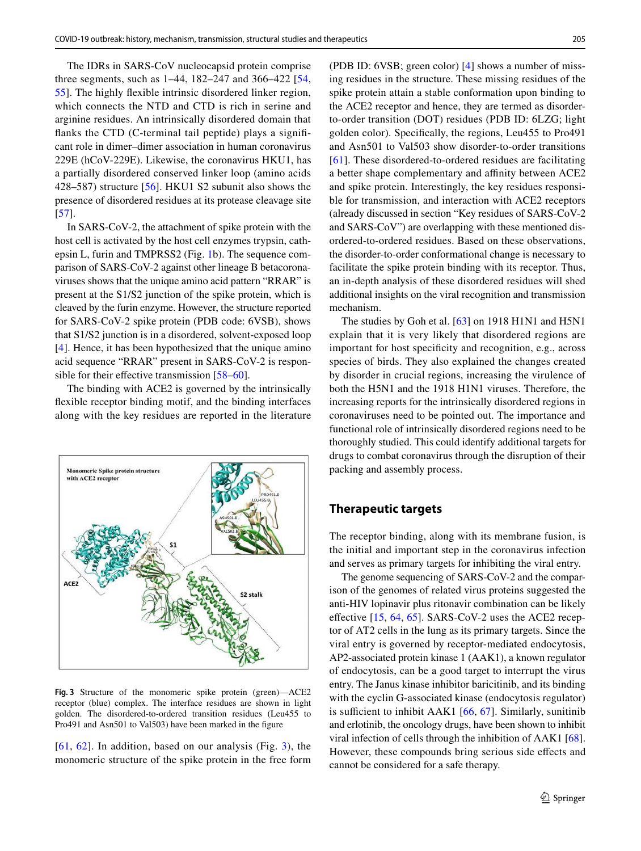The IDRs in SARS-CoV nucleocapsid protein comprise three segments, such as 1–44, 182–247 and 366–422 [\[54,](#page-11-19) [55](#page-11-20)]. The highly flexible intrinsic disordered linker region, which connects the NTD and CTD is rich in serine and arginine residues. An intrinsically disordered domain that flanks the CTD (C-terminal tail peptide) plays a significant role in dimer–dimer association in human coronavirus 229E (hCoV-229E). Likewise, the coronavirus HKU1, has a partially disordered conserved linker loop (amino acids 428–587) structure [[56\]](#page-11-21). HKU1 S2 subunit also shows the presence of disordered residues at its protease cleavage site [\[57\]](#page-11-22).

In SARS-CoV-2, the attachment of spike protein with the host cell is activated by the host cell enzymes trypsin, cathepsin L, furin and TMPRSS2 (Fig. [1b](#page-2-0)). The sequence comparison of SARS-CoV-2 against other lineage B betacoronaviruses shows that the unique amino acid pattern "RRAR" is present at the S1/S2 junction of the spike protein, which is cleaved by the furin enzyme. However, the structure reported for SARS-CoV-2 spike protein (PDB code: 6VSB), shows that S1/S2 junction is in a disordered, solvent-exposed loop [\[4](#page-10-26)]. Hence, it has been hypothesized that the unique amino acid sequence "RRAR" present in SARS-CoV-2 is responsible for their effective transmission [\[58–](#page-11-23)[60\]](#page-11-24).

The binding with ACE2 is governed by the intrinsically flexible receptor binding motif, and the binding interfaces along with the key residues are reported in the literature



<span id="page-6-0"></span>**Fig. 3** Structure of the monomeric spike protein (green)—ACE2 receptor (blue) complex. The interface residues are shown in light golden. The disordered-to-ordered transition residues (Leu455 to Pro491 and Asn501 to Val503) have been marked in the figure

 $[61, 62]$  $[61, 62]$  $[61, 62]$  $[61, 62]$  $[61, 62]$ . In addition, based on our analysis (Fig. [3\)](#page-6-0), the monomeric structure of the spike protein in the free form (PDB ID: 6VSB; green color) [[4\]](#page-10-26) shows a number of missing residues in the structure. These missing residues of the spike protein attain a stable conformation upon binding to the ACE2 receptor and hence, they are termed as disorderto-order transition (DOT) residues (PDB ID: 6LZG; light golden color). Specifically, the regions, Leu455 to Pro491 and Asn501 to Val503 show disorder-to-order transitions [[61\]](#page-11-25). These disordered-to-ordered residues are facilitating a better shape complementary and affinity between ACE2 and spike protein. Interestingly, the key residues responsible for transmission, and interaction with ACE2 receptors (already discussed in section "Key residues of SARS-CoV-2 and SARS-CoV") are overlapping with these mentioned disordered-to-ordered residues. Based on these observations, the disorder-to-order conformational change is necessary to facilitate the spike protein binding with its receptor. Thus, an in-depth analysis of these disordered residues will shed additional insights on the viral recognition and transmission mechanism.

The studies by Goh et al. [\[63](#page-11-27)] on 1918 H1N1 and H5N1 explain that it is very likely that disordered regions are important for host specificity and recognition, e.g., across species of birds. They also explained the changes created by disorder in crucial regions, increasing the virulence of both the H5N1 and the 1918 H1N1 viruses. Therefore, the increasing reports for the intrinsically disordered regions in coronaviruses need to be pointed out. The importance and functional role of intrinsically disordered regions need to be thoroughly studied. This could identify additional targets for drugs to combat coronavirus through the disruption of their packing and assembly process.

# **Therapeutic targets**

The receptor binding, along with its membrane fusion, is the initial and important step in the coronavirus infection and serves as primary targets for inhibiting the viral entry.

The genome sequencing of SARS-CoV-2 and the comparison of the genomes of related virus proteins suggested the anti-HIV lopinavir plus ritonavir combination can be likely effective  $[15, 64, 65]$  $[15, 64, 65]$  $[15, 64, 65]$  $[15, 64, 65]$  $[15, 64, 65]$  $[15, 64, 65]$  $[15, 64, 65]$ . SARS-CoV-2 uses the ACE2 receptor of AT2 cells in the lung as its primary targets. Since the viral entry is governed by receptor-mediated endocytosis, AP2-associated protein kinase 1 (AAK1), a known regulator of endocytosis, can be a good target to interrupt the virus entry. The Janus kinase inhibitor baricitinib, and its binding with the cyclin G-associated kinase (endocytosis regulator) is sufficient to inhibit AAK1 [\[66,](#page-11-30) [67](#page-11-31)]. Similarly, sunitinib and erlotinib, the oncology drugs, have been shown to inhibit viral infection of cells through the inhibition of AAK1 [\[68](#page-11-32)]. However, these compounds bring serious side effects and cannot be considered for a safe therapy.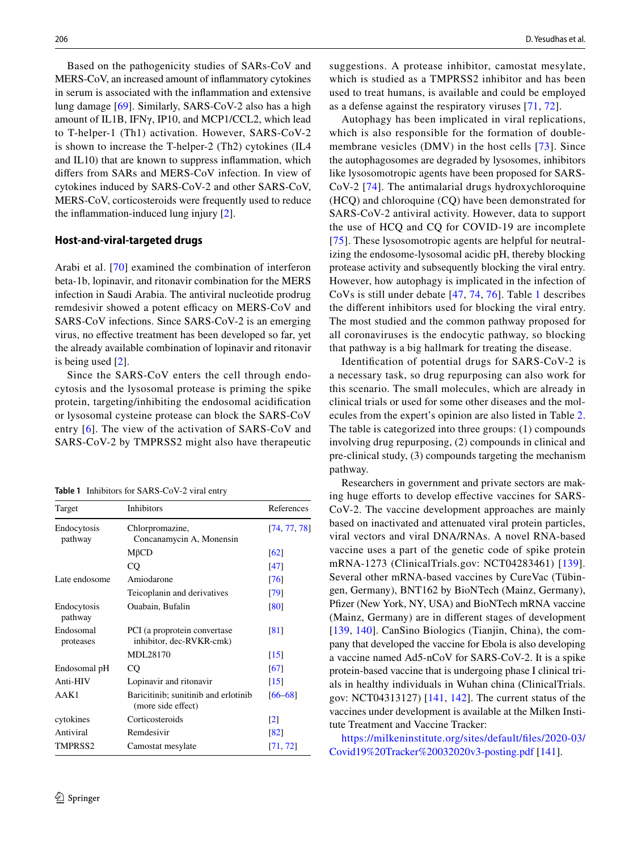Based on the pathogenicity studies of SARs-CoV and MERS-CoV, an increased amount of inflammatory cytokines in serum is associated with the inflammation and extensive lung damage [\[69](#page-11-33)]. Similarly, SARS-CoV-2 also has a high amount of IL1B, IFNγ, IP10, and MCP1/CCL2, which lead to T-helper-1 (Th1) activation. However, SARS-CoV-2 is shown to increase the T-helper-2 (Th2) cytokines (IL4 and IL10) that are known to suppress inflammation, which differs from SARs and MERS-CoV infection. In view of cytokines induced by SARS-CoV-2 and other SARS-CoV, MERS-CoV, corticosteroids were frequently used to reduce the inflammation-induced lung injury [\[2](#page-10-1)].

#### **Host‑and‑viral‑targeted drugs**

Arabi et al. [\[70\]](#page-11-34) examined the combination of interferon beta-1b, lopinavir, and ritonavir combination for the MERS infection in Saudi Arabia. The antiviral nucleotide prodrug remdesivir showed a potent efficacy on MERS-CoV and SARS-CoV infections. Since SARS-CoV-2 is an emerging virus, no effective treatment has been developed so far, yet the already available combination of lopinavir and ritonavir is being used [\[2](#page-10-1)].

Since the SARS-CoV enters the cell through endocytosis and the lysosomal protease is priming the spike protein, targeting/inhibiting the endosomal acidification or lysosomal cysteine protease can block the SARS-CoV entry [[6](#page-10-4)]. The view of the activation of SARS-CoV and SARS-CoV-2 by TMPRSS2 might also have therapeutic

<span id="page-7-0"></span>**Table 1** Inhibitors for SARS-CoV-2 viral entry

| Target                 | Inhibitors                                                 | References         |
|------------------------|------------------------------------------------------------|--------------------|
| Endocytosis<br>pathway | Chlorpromazine,<br>Concanamycin A, Monensin                | [74, 77, 78]       |
|                        | $M\beta CD$                                                | $\lceil 62 \rceil$ |
|                        | CO                                                         | [47]               |
| Late endosome          | Amiodarone                                                 | [76]               |
|                        | Teicoplanin and derivatives                                | [79]               |
| Endocytosis<br>pathway | Ouabain, Bufalin                                           | [80]               |
| Endosomal<br>proteases | PCI (a proprotein convertase<br>inhibitor, dec-RVKR-cmk)   | [81]               |
|                        | MDL28170                                                   | $\lceil 15 \rceil$ |
| Endosomal pH           | $_{\rm CO}$                                                | [67]               |
| Anti-HIV               | Lopinavir and ritonavir                                    | $\lceil 15 \rceil$ |
| AAK1                   | Baricitinib; sunitinib and erlotinib<br>(more side effect) | $[66 - 68]$        |
| cytokines              | Corticosteroids                                            | $\lceil 2 \rceil$  |
| Antiviral              | Remdesivir                                                 | [82]               |
| TMPRSS2                | Camostat mesylate                                          | [71, 72]           |

suggestions. A protease inhibitor, camostat mesylate, which is studied as a TMPRSS2 inhibitor and has been used to treat humans, is available and could be employed as a defense against the respiratory viruses [\[71,](#page-12-0) [72](#page-12-1)].

Autophagy has been implicated in viral replications, which is also responsible for the formation of doublemembrane vesicles (DMV) in the host cells [[73](#page-12-2)]. Since the autophagosomes are degraded by lysosomes, inhibitors like lysosomotropic agents have been proposed for SARS-CoV-2 [[74\]](#page-12-3). The antimalarial drugs hydroxychloroquine (HCQ) and chloroquine (CQ) have been demonstrated for SARS-CoV-2 antiviral activity. However, data to support the use of HCQ and CQ for COVID-19 are incomplete [[75\]](#page-12-4). These lysosomotropic agents are helpful for neutralizing the endosome-lysosomal acidic pH, thereby blocking protease activity and subsequently blocking the viral entry. However, how autophagy is implicated in the infection of CoVs is still under debate [[47,](#page-11-12) [74,](#page-12-3) [76](#page-12-5)]. Table [1](#page-7-0) describes the different inhibitors used for blocking the viral entry. The most studied and the common pathway proposed for all coronaviruses is the endocytic pathway, so blocking that pathway is a big hallmark for treating the disease.

Identification of potential drugs for SARS-CoV-2 is a necessary task, so drug repurposing can also work for this scenario. The small molecules, which are already in clinical trials or used for some other diseases and the molecules from the expert's opinion are also listed in Table [2.](#page-8-0) The table is categorized into three groups: (1) compounds involving drug repurposing, (2) compounds in clinical and pre-clinical study, (3) compounds targeting the mechanism pathway.

Researchers in government and private sectors are making huge efforts to develop effective vaccines for SARS-CoV-2. The vaccine development approaches are mainly based on inactivated and attenuated viral protein particles, viral vectors and viral DNA/RNAs. A novel RNA-based vaccine uses a part of the genetic code of spike protein mRNA-1273 (ClinicalTrials.gov: NCT04283461) [[139](#page-14-0)]. Several other mRNA-based vaccines by CureVac (Tübingen, Germany), BNT162 by BioNTech (Mainz, Germany), Pfizer (New York, NY, USA) and BioNTech mRNA vaccine (Mainz, Germany) are in different stages of development [[139,](#page-14-0) [140\]](#page-14-1). CanSino Biologics (Tianjin, China), the company that developed the vaccine for Ebola is also developing a vaccine named Ad5-nCoV for SARS-CoV-2. It is a spike protein-based vaccine that is undergoing phase I clinical trials in healthy individuals in Wuhan china (ClinicalTrials. gov: NCT04313127) [[141](#page-14-2), [142\]](#page-14-3). The current status of the vaccines under development is available at the Milken Institute Treatment and Vaccine Tracker:

https://milkeninstitute.org/sites/default/files/2020-03/ Covid 19% 20Tracker % 2003 2020 v3-posting.pdf [\[141](#page-14-2)].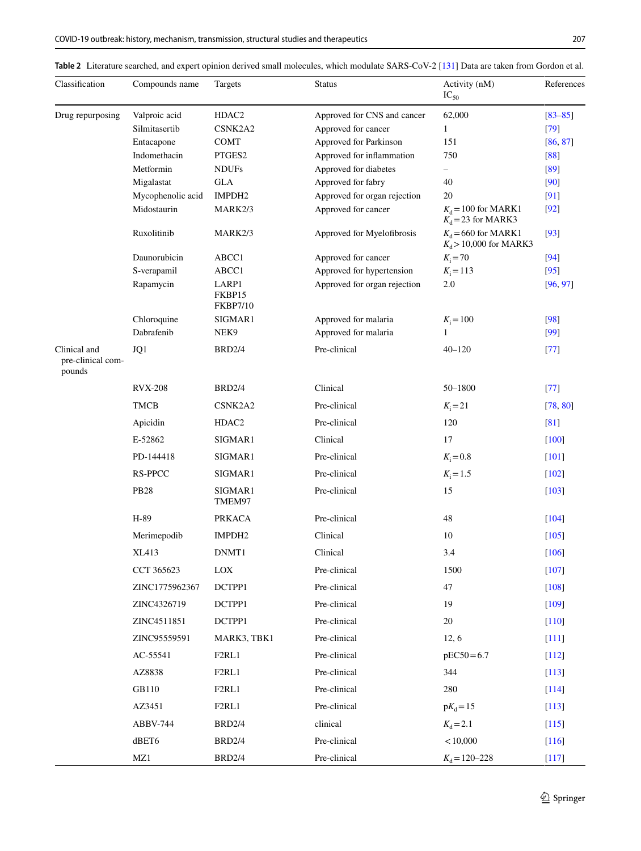<span id="page-8-0"></span>

|  |  |  | Table 2 Literature searched, and expert opinion derived small molecules, which modulate SARS-CoV-2 [131] Data are taken from Gordon et al. |  |  |  |  |
|--|--|--|--------------------------------------------------------------------------------------------------------------------------------------------|--|--|--|--|
|--|--|--|--------------------------------------------------------------------------------------------------------------------------------------------|--|--|--|--|

| Classification                              | Compounds name    | Targets                            | <b>Status</b>                | Activity (nM)<br>$IC_{50}$                       | References  |
|---------------------------------------------|-------------------|------------------------------------|------------------------------|--------------------------------------------------|-------------|
| Drug repurposing                            | Valproic acid     | HDAC2                              | Approved for CNS and cancer  | 62,000                                           | $[83 - 85]$ |
|                                             | Silmitasertib     | CSNK2A2                            | Approved for cancer          | $\mathbf{1}$                                     | $[79]$      |
|                                             | Entacapone        | <b>COMT</b>                        | Approved for Parkinson       | 151                                              | [86, 87]    |
|                                             | Indomethacin      | PTGES2                             | Approved for inflammation    | 750                                              | [88]        |
|                                             | Metformin         | <b>NDUFs</b>                       | Approved for diabetes        | -                                                | [89]        |
|                                             | Migalastat        | <b>GLA</b>                         | Approved for fabry           | 40                                               | [90]        |
|                                             | Mycophenolic acid | IMPDH <sub>2</sub>                 | Approved for organ rejection | 20                                               | [91]        |
|                                             | Midostaurin       | MARK2/3                            | Approved for cancer          | $K_d$ = 100 for MARK1<br>$K_d$ = 23 for MARK3    | [92]        |
|                                             | Ruxolitinib       | MARK2/3                            | Approved for Myelofibrosis   | $K_d$ =660 for MARK1<br>$K_d$ > 10,000 for MARK3 | $[93]$      |
|                                             | Daunorubicin      | ABCC1                              | Approved for cancer          | $K_i = 70$                                       | $[94]$      |
|                                             | S-verapamil       | ABCC1                              | Approved for hypertension    | $K_i = 113$                                      | $[95]$      |
|                                             | Rapamycin         | LARP1<br>FKBP15<br><b>FKBP7/10</b> | Approved for organ rejection | 2.0                                              | [96, 97]    |
|                                             | Chloroquine       | SIGMAR1                            | Approved for malaria         | $K_i = 100$                                      | [98]        |
|                                             | Dabrafenib        | NEK9                               | Approved for malaria         | $\mathbf{1}$                                     | [99]        |
| Clinical and<br>pre-clinical com-<br>pounds | JQ1               | <b>BRD2/4</b>                      | Pre-clinical                 | $40 - 120$                                       | $[77]$      |
|                                             | <b>RVX-208</b>    | <b>BRD2/4</b>                      | Clinical                     | 50-1800                                          | $[77]$      |
|                                             | <b>TMCB</b>       | CSNK2A2                            | Pre-clinical                 | $K_i = 21$                                       | [78, 80]    |
|                                             | Apicidin          | HDAC <sub>2</sub>                  | Pre-clinical                 | 120                                              | [81]        |
|                                             | E-52862           | SIGMAR1                            | Clinical                     | 17                                               | $[100]$     |
|                                             | PD-144418         | SIGMAR1                            | Pre-clinical                 | $K_{\rm i} = 0.8$                                | $[101]$     |
|                                             | <b>RS-PPCC</b>    | SIGMAR1                            | Pre-clinical                 | $K_i = 1.5$                                      | $[102]$     |
|                                             | <b>PB28</b>       | SIGMAR1<br>TMEM97                  | Pre-clinical                 | 15                                               | $[103]$     |
|                                             | H-89              | <b>PRKACA</b>                      | Pre-clinical                 | 48                                               | [104]       |
|                                             | Merimepodib       | IMPDH <sub>2</sub>                 | Clinical                     | 10                                               | $[105]$     |
|                                             | XL413             | DNMT1                              | Clinical                     | 3.4                                              | [106]       |
|                                             | CCT 365623        | LOX                                | Pre-clinical                 | 1500                                             | $[107]$     |
|                                             | ZINC1775962367    | DCTPP1                             | Pre-clinical                 | 47                                               | $[108]$     |
|                                             | ZINC4326719       | DCTPP1                             | Pre-clinical                 | 19                                               | $[109]$     |
|                                             | ZINC4511851       | DCTPP1                             | Pre-clinical                 | 20                                               | $[110]$     |
|                                             | ZINC95559591      | MARK3, TBK1                        | Pre-clinical                 | 12, 6                                            | $[111]$     |
|                                             | AC-55541          | F <sub>2</sub> RL1                 | Pre-clinical                 | $pEC50 = 6.7$                                    | $[112]$     |
|                                             | AZ8838            | F <sub>2</sub> RL1                 | Pre-clinical                 | 344                                              | $[113]$     |
|                                             | GB110             | F <sub>2</sub> RL1                 | Pre-clinical                 | 280                                              | $[114]$     |
|                                             | AZ3451            | F <sub>2</sub> RL <sub>1</sub>     | Pre-clinical                 | $pK_d = 15$                                      | $[113]$     |
|                                             | ABBV-744          | <b>BRD2/4</b>                      | clinical                     | $K_{d} = 2.1$                                    | [115]       |
|                                             | dBET6             | <b>BRD2/4</b>                      | Pre-clinical                 | < 10,000                                         | $[116]$     |
|                                             | MZ1               | <b>BRD2/4</b>                      | Pre-clinical                 | $K_{\rm d} = 120 - 228$                          | [117]       |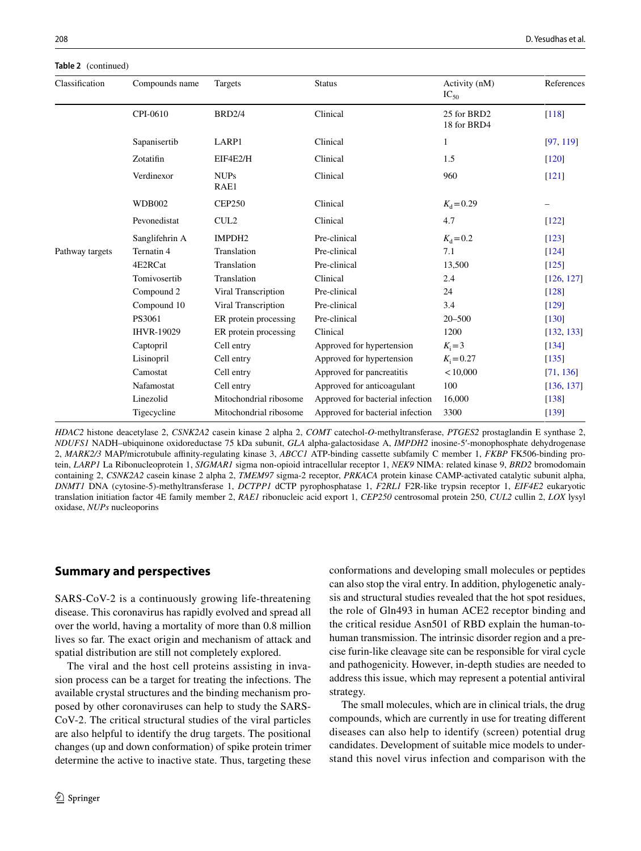#### **Table 2** (continued)

| Classification  | Compounds name    | Targets                | <b>Status</b>                    | Activity (nM)<br>$IC_{50}$ | References          |
|-----------------|-------------------|------------------------|----------------------------------|----------------------------|---------------------|
|                 | CPI-0610          | <b>BRD2/4</b>          | Clinical                         | 25 for BRD2<br>18 for BRD4 | $\lceil 118 \rceil$ |
|                 | Sapanisertib      | LARP1                  | Clinical                         | 1                          | [97, 119]           |
|                 | Zotatifin         | EIF4E2/H               | Clinical                         | 1.5                        | $\lceil 120 \rceil$ |
|                 | Verdinexor        | <b>NUPs</b><br>RAE1    | Clinical                         | 960                        | [121]               |
|                 | <b>WDB002</b>     | <b>CEP250</b>          | Clinical                         | $K_{\rm d} = 0.29$         | -                   |
|                 | Pevonedistat      | CUL <sub>2</sub>       | Clinical                         | 4.7                        | $[122]$             |
|                 | Sanglifehrin A    | IMPDH <sub>2</sub>     | Pre-clinical                     | $K_{d} = 0.2$              | $[123]$             |
| Pathway targets | Ternatin 4        | Translation            | Pre-clinical                     | 7.1                        | [124]               |
|                 | 4E2RCat           | Translation            | Pre-clinical                     | 13,500                     | [125]               |
|                 | Tomivosertib      | Translation            | Clinical                         | 2.4                        | [126, 127]          |
|                 | Compound 2        | Viral Transcription    | Pre-clinical                     | 24                         | $[128]$             |
|                 | Compound 10       | Viral Transcription    | Pre-clinical                     | 3.4                        | [129]               |
|                 | PS3061            | ER protein processing  | Pre-clinical                     | $20 - 500$                 | $[130]$             |
|                 | <b>IHVR-19029</b> | ER protein processing  | Clinical                         | 1200                       | [132, 133]          |
|                 | Captopril         | Cell entry             | Approved for hypertension        | $K_i = 3$                  | [134]               |
|                 | Lisinopril        | Cell entry             | Approved for hypertension        | $K_i = 0.27$               | [135]               |
|                 | Camostat          | Cell entry             | Approved for pancreatitis        | < 10,000                   | [71, 136]           |
|                 | Nafamostat        | Cell entry             | Approved for anticoagulant       | 100                        | [136, 137]          |
|                 | Linezolid         | Mitochondrial ribosome | Approved for bacterial infection | 16,000                     | $[138]$             |
|                 | Tigecycline       | Mitochondrial ribosome | Approved for bacterial infection | 3300                       | $\lceil 139 \rceil$ |

*HDAC2* histone deacetylase 2, *CSNK2A2* casein kinase 2 alpha 2, *COMT* catechol-*O*-methyltransferase, *PTGES2* prostaglandin E synthase 2, *NDUFS1* NADH–ubiquinone oxidoreductase 75 kDa subunit, *GLA* alpha-galactosidase A, *IMPDH2* inosine-5′-monophosphate dehydrogenase 2, *MARK2/3* MAP/microtubule affinity-regulating kinase 3, *ABCC1* ATP-binding cassette subfamily C member 1, *FKBP* FK506-binding protein, *LARP1* La Ribonucleoprotein 1, *SIGMAR1* sigma non-opioid intracellular receptor 1, *NEK9* NIMA: related kinase 9, *BRD2* bromodomain containing 2, *CSNK2A2* casein kinase 2 alpha 2, *TMEM97* sigma-2 receptor, *PRKACA* protein kinase CAMP-activated catalytic subunit alpha, *DNMT1* DNA (cytosine-5)-methyltransferase 1, *DCTPP1* dCTP pyrophosphatase 1, *F2RL1* F2R-like trypsin receptor 1, *EIF4E2* eukaryotic translation initiation factor 4E family member 2, *RAE1* ribonucleic acid export 1, *CEP250* centrosomal protein 250, *CUL2* cullin 2, *LOX* lysyl oxidase, *NUPs* nucleoporins

# **Summary and perspectives**

SARS-CoV-2 is a continuously growing life-threatening disease. This coronavirus has rapidly evolved and spread all over the world, having a mortality of more than 0.8 million lives so far. The exact origin and mechanism of attack and spatial distribution are still not completely explored.

The viral and the host cell proteins assisting in invasion process can be a target for treating the infections. The available crystal structures and the binding mechanism proposed by other coronaviruses can help to study the SARS-CoV-2. The critical structural studies of the viral particles are also helpful to identify the drug targets. The positional changes (up and down conformation) of spike protein trimer determine the active to inactive state. Thus, targeting these conformations and developing small molecules or peptides can also stop the viral entry. In addition, phylogenetic analysis and structural studies revealed that the hot spot residues, the role of Gln493 in human ACE2 receptor binding and the critical residue Asn501 of RBD explain the human-tohuman transmission. The intrinsic disorder region and a precise furin-like cleavage site can be responsible for viral cycle and pathogenicity. However, in-depth studies are needed to address this issue, which may represent a potential antiviral strategy.

The small molecules, which are in clinical trials, the drug compounds, which are currently in use for treating different diseases can also help to identify (screen) potential drug candidates. Development of suitable mice models to understand this novel virus infection and comparison with the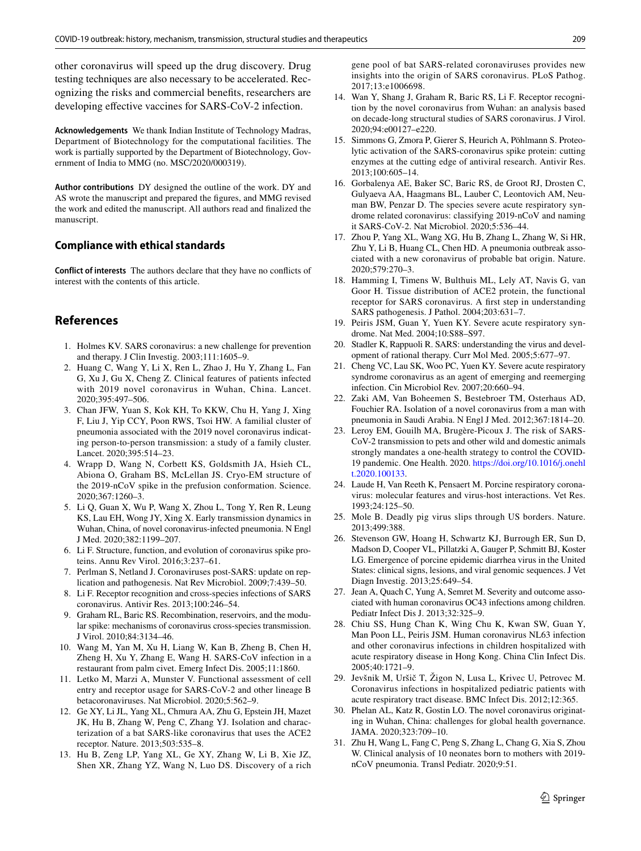other coronavirus will speed up the drug discovery. Drug testing techniques are also necessary to be accelerated. Recognizing the risks and commercial benefits, researchers are developing effective vaccines for SARS-CoV-2 infection.

**Acknowledgements** We thank Indian Institute of Technology Madras, Department of Biotechnology for the computational facilities. The work is partially supported by the Department of Biotechnology, Government of India to MMG (no. MSC/2020/000319).

**Author contributions** DY designed the outline of the work. DY and AS wrote the manuscript and prepared the figures, and MMG revised the work and edited the manuscript. All authors read and finalized the manuscript.

#### **Compliance with ethical standards**

**Conflict of interests** The authors declare that they have no conflicts of interest with the contents of this article.

# **References**

- <span id="page-10-0"></span> 1. Holmes KV. SARS coronavirus: a new challenge for prevention and therapy. J Clin Investig. 2003;111:1605–9.
- <span id="page-10-1"></span> 2. Huang C, Wang Y, Li X, Ren L, Zhao J, Hu Y, Zhang L, Fan G, Xu J, Gu X, Cheng Z. Clinical features of patients infected with 2019 novel coronavirus in Wuhan, China. Lancet. 2020;395:497–506.
- <span id="page-10-2"></span> 3. Chan JFW, Yuan S, Kok KH, To KKW, Chu H, Yang J, Xing F, Liu J, Yip CCY, Poon RWS, Tsoi HW. A familial cluster of pneumonia associated with the 2019 novel coronavirus indicating person-to-person transmission: a study of a family cluster. Lancet. 2020;395:514–23.
- <span id="page-10-26"></span> 4. Wrapp D, Wang N, Corbett KS, Goldsmith JA, Hsieh CL, Abiona O, Graham BS, McLellan JS. Cryo-EM structure of the 2019-nCoV spike in the prefusion conformation. Science. 2020;367:1260–3.
- <span id="page-10-3"></span> 5. Li Q, Guan X, Wu P, Wang X, Zhou L, Tong Y, Ren R, Leung KS, Lau EH, Wong JY, Xing X. Early transmission dynamics in Wuhan, China, of novel coronavirus-infected pneumonia. N Engl J Med. 2020;382:1199–207.
- <span id="page-10-4"></span> 6. Li F. Structure, function, and evolution of coronavirus spike proteins. Annu Rev Virol. 2016;3:237–61.
- <span id="page-10-5"></span> 7. Perlman S, Netland J. Coronaviruses post-SARS: update on replication and pathogenesis. Nat Rev Microbiol. 2009;7:439–50.
- <span id="page-10-6"></span> 8. Li F. Receptor recognition and cross-species infections of SARS coronavirus. Antivir Res. 2013;100:246–54.
- <span id="page-10-7"></span> 9. Graham RL, Baric RS. Recombination, reservoirs, and the modular spike: mechanisms of coronavirus cross-species transmission. J Virol. 2010;84:3134–46.
- <span id="page-10-8"></span> 10. Wang M, Yan M, Xu H, Liang W, Kan B, Zheng B, Chen H, Zheng H, Xu Y, Zhang E, Wang H. SARS-CoV infection in a restaurant from palm civet. Emerg Infect Dis. 2005;11:1860.
- <span id="page-10-9"></span> 11. Letko M, Marzi A, Munster V. Functional assessment of cell entry and receptor usage for SARS-CoV-2 and other lineage B betacoronaviruses. Nat Microbiol. 2020;5:562–9.
- 12. Ge XY, Li JL, Yang XL, Chmura AA, Zhu G, Epstein JH, Mazet JK, Hu B, Zhang W, Peng C, Zhang YJ. Isolation and characterization of a bat SARS-like coronavirus that uses the ACE2 receptor. Nature. 2013;503:535–8.
- <span id="page-10-10"></span> 13. Hu B, Zeng LP, Yang XL, Ge XY, Zhang W, Li B, Xie JZ, Shen XR, Zhang YZ, Wang N, Luo DS. Discovery of a rich

gene pool of bat SARS-related coronaviruses provides new insights into the origin of SARS coronavirus. PLoS Pathog. 2017;13:e1006698.

- <span id="page-10-11"></span> 14. Wan Y, Shang J, Graham R, Baric RS, Li F. Receptor recognition by the novel coronavirus from Wuhan: an analysis based on decade-long structural studies of SARS coronavirus. J Virol. 2020;94:e00127–e220.
- <span id="page-10-15"></span> 15. Simmons G, Zmora P, Gierer S, Heurich A, Pöhlmann S. Proteolytic activation of the SARS-coronavirus spike protein: cutting enzymes at the cutting edge of antiviral research. Antivir Res. 2013;100:605–14.
- <span id="page-10-12"></span> 16. Gorbalenya AE, Baker SC, Baric RS, de Groot RJ, Drosten C, Gulyaeva AA, Haagmans BL, Lauber C, Leontovich AM, Neuman BW, Penzar D. The species severe acute respiratory syndrome related coronavirus: classifying 2019-nCoV and naming it SARS-CoV-2. Nat Microbiol. 2020;5:536–44.
- <span id="page-10-13"></span> 17. Zhou P, Yang XL, Wang XG, Hu B, Zhang L, Zhang W, Si HR, Zhu Y, Li B, Huang CL, Chen HD. A pneumonia outbreak associated with a new coronavirus of probable bat origin. Nature. 2020;579:270–3.
- <span id="page-10-14"></span> 18. Hamming I, Timens W, Bulthuis ML, Lely AT, Navis G, van Goor H. Tissue distribution of ACE2 protein, the functional receptor for SARS coronavirus. A first step in understanding SARS pathogenesis. J Pathol. 2004;203:631–7.
- 19. Peiris JSM, Guan Y, Yuen KY. Severe acute respiratory syndrome. Nat Med. 2004;10:S88–S97.
- <span id="page-10-16"></span> 20. Stadler K, Rappuoli R. SARS: understanding the virus and development of rational therapy. Curr Mol Med. 2005;5:677–97.
- <span id="page-10-17"></span> 21. Cheng VC, Lau SK, Woo PC, Yuen KY. Severe acute respiratory syndrome coronavirus as an agent of emerging and reemerging infection. Cin Microbiol Rev. 2007;20:660–94.
- <span id="page-10-18"></span> 22. Zaki AM, Van Boheemen S, Bestebroer TM, Osterhaus AD, Fouchier RA. Isolation of a novel coronavirus from a man with pneumonia in Saudi Arabia. N Engl J Med. 2012;367:1814–20.
- <span id="page-10-19"></span> 23. Leroy EM, Gouilh MA, Brugère-Picoux J. The risk of SARS-CoV-2 transmission to pets and other wild and domestic animals strongly mandates a one-health strategy to control the COVID-19 pandemic. One Health. 2020. [https ://doi.org/10.1016/j.onehl](https://doi.org/10.1016/j.onehlt.2020.100133) t.2020.100133.
- <span id="page-10-20"></span> 24. Laude H, Van Reeth K, Pensaert M. Porcine respiratory coronavirus: molecular features and virus-host interactions. Vet Res. 1993;24:125–50.
- <span id="page-10-21"></span> 25. Mole B. Deadly pig virus slips through US borders. Nature. 2013;499:388.
- <span id="page-10-22"></span> 26. Stevenson GW, Hoang H, Schwartz KJ, Burrough ER, Sun D, Madson D, Cooper VL, Pillatzki A, Gauger P, Schmitt BJ, Koster LG. Emergence of porcine epidemic diarrhea virus in the United States: clinical signs, lesions, and viral genomic sequences. J Vet Diagn Investig. 2013;25:649–54.
- <span id="page-10-23"></span> 27. Jean A, Quach C, Yung A, Semret M. Severity and outcome associated with human coronavirus OC43 infections among children. Pediatr Infect Dis J. 2013;32:325–9.
- 28. Chiu SS, Hung Chan K, Wing Chu K, Kwan SW, Guan Y, Man Poon LL, Peiris JSM. Human coronavirus NL63 infection and other coronavirus infections in children hospitalized with acute respiratory disease in Hong Kong. China Clin Infect Dis. 2005;40:1721–9.
- <span id="page-10-24"></span> 29. Jevšnik M, Uršič T, Žigon N, Lusa L, Krivec U, Petrovec M. Coronavirus infections in hospitalized pediatric patients with acute respiratory tract disease. BMC Infect Dis. 2012;12:365.
- <span id="page-10-25"></span> 30. Phelan AL, Katz R, Gostin LO. The novel coronavirus originating in Wuhan, China: challenges for global health governance. JAMA. 2020;323:709–10.
- 31. Zhu H, Wang L, Fang C, Peng S, Zhang L, Chang G, Xia S, Zhou W. Clinical analysis of 10 neonates born to mothers with 2019 nCoV pneumonia. Transl Pediatr. 2020;9:51.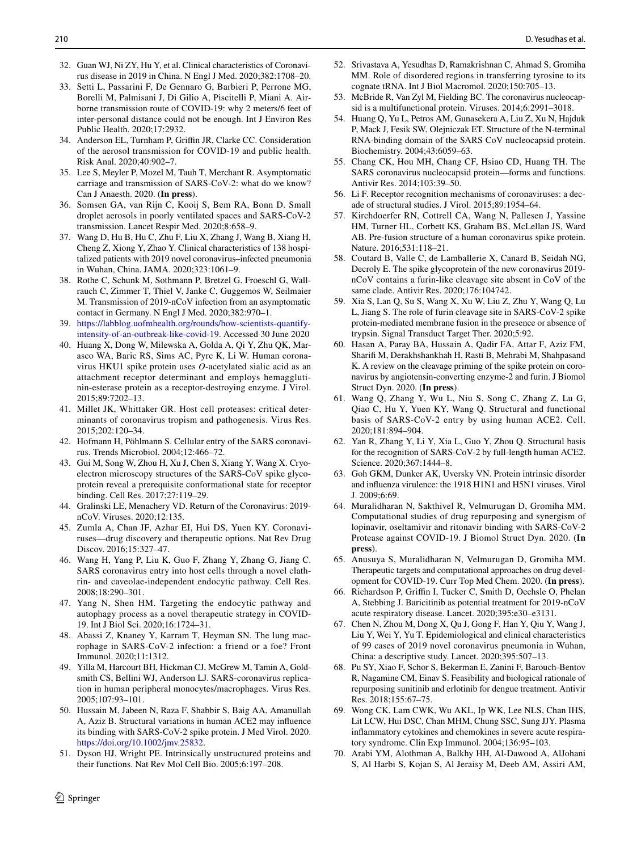- <span id="page-11-1"></span> 32. Guan WJ, Ni ZY, Hu Y, et al. Clinical characteristics of Coronavirus disease in 2019 in China. N Engl J Med. 2020;382:1708–20.
- 33. Setti L, Passarini F, De Gennaro G, Barbieri P, Perrone MG, Borelli M, Palmisani J, Di Gilio A, Piscitelli P, Miani A. Airborne transmission route of COVID-19: why 2 meters/6 feet of inter-personal distance could not be enough. Int J Environ Res Public Health. 2020;17:2932.
- 34. Anderson EL, Turnham P, Griffin JR, Clarke CC. Consideration of the aerosol transmission for COVID-19 and public health. Risk Anal. 2020;40:902–7.
- 35. Lee S, Meyler P, Mozel M, Tauh T, Merchant R. Asymptomatic carriage and transmission of SARS-CoV-2: what do we know? Can J Anaesth. 2020. (**In press**).
- <span id="page-11-0"></span> 36. Somsen GA, van Rijn C, Kooij S, Bem RA, Bonn D. Small droplet aerosols in poorly ventilated spaces and SARS-CoV-2 transmission. Lancet Respir Med. 2020;8:658–9.
- <span id="page-11-2"></span> 37. Wang D, Hu B, Hu C, Zhu F, Liu X, Zhang J, Wang B, Xiang H, Cheng Z, Xiong Y, Zhao Y. Clinical characteristics of 138 hospitalized patients with 2019 novel coronavirus–infected pneumonia in Wuhan, China. JAMA. 2020;323:1061–9.
- <span id="page-11-3"></span> 38. Rothe C, Schunk M, Sothmann P, Bretzel G, Froeschl G, Wallrauch C, Zimmer T, Thiel V, Janke C, Guggemos W, Seilmaier M. Transmission of 2019-nCoV infection from an asymptomatic contact in Germany. N Engl J Med. 2020;382:970–1.
- <span id="page-11-4"></span>39. https://labblog.uofmhealth.org/rounds/how-scientists-quantifyintensity-of-an-outbreak-like-covid-19. Accessed 30 June 2020
- <span id="page-11-5"></span> 40. Huang X, Dong W, Milewska A, Golda A, Qi Y, Zhu QK, Marasco WA, Baric RS, Sims AC, Pyrc K, Li W. Human coronavirus HKU1 spike protein uses *O*-acetylated sialic acid as an attachment receptor determinant and employs hemagglutinin-esterase protein as a receptor-destroying enzyme. J Virol. 2015;89:7202–13.
- <span id="page-11-6"></span> 41. Millet JK, Whittaker GR. Host cell proteases: critical determinants of coronavirus tropism and pathogenesis. Virus Res. 2015;202:120–34.
- <span id="page-11-7"></span> 42. Hofmann H, Pöhlmann S. Cellular entry of the SARS coronavirus. Trends Microbiol. 2004;12:466–72.
- <span id="page-11-8"></span> 43. Gui M, Song W, Zhou H, Xu J, Chen S, Xiang Y, Wang X. Cryoelectron microscopy structures of the SARS-CoV spike glycoprotein reveal a prerequisite conformational state for receptor binding. Cell Res. 2017;27:119–29.
- <span id="page-11-9"></span> 44. Gralinski LE, Menachery VD. Return of the Coronavirus: 2019 nCoV. Viruses. 2020;12:135.
- <span id="page-11-10"></span> 45. Zumla A, Chan JF, Azhar EI, Hui DS, Yuen KY. Coronaviruses—drug discovery and therapeutic options. Nat Rev Drug Discov. 2016;15:327–47.
- <span id="page-11-11"></span> 46. Wang H, Yang P, Liu K, Guo F, Zhang Y, Zhang G, Jiang C. SARS coronavirus entry into host cells through a novel clathrin- and caveolae-independent endocytic pathway. Cell Res. 2008;18:290–301.
- <span id="page-11-12"></span> 47. Yang N, Shen HM. Targeting the endocytic pathway and autophagy process as a novel therapeutic strategy in COVID-19. Int J Biol Sci. 2020;16:1724–31.
- <span id="page-11-13"></span> 48. Abassi Z, Knaney Y, Karram T, Heyman SN. The lung macrophage in SARS-CoV-2 infection: a friend or a foe? Front Immunol. 2020;11:1312.
- <span id="page-11-14"></span> 49. Yilla M, Harcourt BH, Hickman CJ, McGrew M, Tamin A, Goldsmith CS, Bellini WJ, Anderson LJ. SARS-coronavirus replication in human peripheral monocytes/macrophages. Virus Res. 2005;107:93–101.
- <span id="page-11-15"></span> 50. Hussain M, Jabeen N, Raza F, Shabbir S, Baig AA, Amanullah A, Aziz B. Structural variations in human ACE2 may influence its binding with SARS-CoV-2 spike protein. J Med Virol. 2020. [https ://doi.org/10.1002/jmv.25832 .](https://doi.org/10.1002/jmv.25832)
- <span id="page-11-16"></span> 51. Dyson HJ, Wright PE. Intrinsically unstructured proteins and their functions. Nat Rev Mol Cell Bio. 2005;6:197–208.
- <span id="page-11-17"></span> 52. Srivastava A, Yesudhas D, Ramakrishnan C, Ahmad S, Gromiha MM. Role of disordered regions in transferring tyrosine to its cognate tRNA. Int J Biol Macromol. 2020;150:705–13.
- <span id="page-11-18"></span> 53. McBride R, Van Zyl M, Fielding BC. The coronavirus nucleocapsid is a multifunctional protein. Viruses. 2014;6:2991–3018.
- <span id="page-11-19"></span> 54. Huang Q, Yu L, Petros AM, Gunasekera A, Liu Z, Xu N, Hajduk P, Mack J, Fesik SW, Olejniczak ET. Structure of the N-terminal RNA-binding domain of the SARS CoV nucleocapsid protein. Biochemistry. 2004;43:6059–63.
- <span id="page-11-20"></span> 55. Chang CK, Hou MH, Chang CF, Hsiao CD, Huang TH. The SARS coronavirus nucleocapsid protein—forms and functions. Antivir Res. 2014;103:39–50.
- <span id="page-11-21"></span> 56. Li F. Receptor recognition mechanisms of coronaviruses: a decade of structural studies. J Virol. 2015;89:1954–64.
- <span id="page-11-22"></span> 57. Kirchdoerfer RN, Cottrell CA, Wang N, Pallesen J, Yassine HM, Turner HL, Corbett KS, Graham BS, McLellan JS, Ward AB. Pre-fusion structure of a human coronavirus spike protein. Nature. 2016;531:118–21.
- <span id="page-11-23"></span> 58. Coutard B, Valle C, de Lamballerie X, Canard B, Seidah NG, Decroly E. The spike glycoprotein of the new coronavirus 2019 nCoV contains a furin-like cleavage site absent in CoV of the same clade. Antivir Res. 2020;176:104742.
- 59. Xia S, Lan Q, Su S, Wang X, Xu W, Liu Z, Zhu Y, Wang Q, Lu L, Jiang S. The role of furin cleavage site in SARS-CoV-2 spike protein-mediated membrane fusion in the presence or absence of trypsin. Signal Transduct Target Ther. 2020;5:92.
- <span id="page-11-24"></span> 60. Hasan A, Paray BA, Hussain A, Qadir FA, Attar F, Aziz FM, Sharifi M, Derakhshankhah H, Rasti B, Mehrabi M, Shahpasand K. A review on the cleavage priming of the spike protein on coronavirus by angiotensin-converting enzyme-2 and furin. J Biomol Struct Dyn. 2020. (**In press**).
- <span id="page-11-25"></span> 61. Wang Q, Zhang Y, Wu L, Niu S, Song C, Zhang Z, Lu G, Qiao C, Hu Y, Yuen KY, Wang Q. Structural and functional basis of SARS-CoV-2 entry by using human ACE2. Cell. 2020;181:894–904.
- <span id="page-11-26"></span> 62. Yan R, Zhang Y, Li Y, Xia L, Guo Y, Zhou Q. Structural basis for the recognition of SARS-CoV-2 by full-length human ACE2. Science. 2020;367:1444–8.
- <span id="page-11-27"></span> 63. Goh GKM, Dunker AK, Uversky VN. Protein intrinsic disorder and influenza virulence: the 1918 H1N1 and H5N1 viruses. Virol J. 2009;6:69.
- <span id="page-11-28"></span> 64. Muralidharan N, Sakthivel R, Velmurugan D, Gromiha MM. Computational studies of drug repurposing and synergism of lopinavir, oseltamivir and ritonavir binding with SARS-CoV-2 Protease against COVID-19. J Biomol Struct Dyn. 2020. (**In press**).
- <span id="page-11-29"></span> 65. Anusuya S, Muralidharan N, Velmurugan D, Gromiha MM. Therapeutic targets and computational approaches on drug development for COVID-19. Curr Top Med Chem. 2020. (**In press**).
- <span id="page-11-30"></span> 66. Richardson P, Griffin I, Tucker C, Smith D, Oechsle O, Phelan A, Stebbing J. Baricitinib as potential treatment for 2019-nCoV acute respiratory disease. Lancet. 2020;395:e30–e3131.
- <span id="page-11-31"></span> 67. Chen N, Zhou M, Dong X, Qu J, Gong F, Han Y, Qiu Y, Wang J, Liu Y, Wei Y, Yu T. Epidemiological and clinical characteristics of 99 cases of 2019 novel coronavirus pneumonia in Wuhan, China: a descriptive study. Lancet. 2020;395:507–13.
- <span id="page-11-32"></span> 68. Pu SY, Xiao F, Schor S, Bekerman E, Zanini F, Barouch-Bentov R, Nagamine CM, Einav S. Feasibility and biological rationale of repurposing sunitinib and erlotinib for dengue treatment. Antivir Res. 2018;155:67–75.
- <span id="page-11-33"></span> 69. Wong CK, Lam CWK, Wu AKL, Ip WK, Lee NLS, Chan IHS, Lit LCW, Hui DSC, Chan MHM, Chung SSC, Sung JJY. Plasma inflammatory cytokines and chemokines in severe acute respiratory syndrome. Clin Exp Immunol. 2004;136:95–103.
- <span id="page-11-34"></span> 70. Arabi YM, Alothman A, Balkhy HH, Al-Dawood A, AlJohani S, Al Harbi S, Kojan S, Al Jeraisy M, Deeb AM, Assiri AM,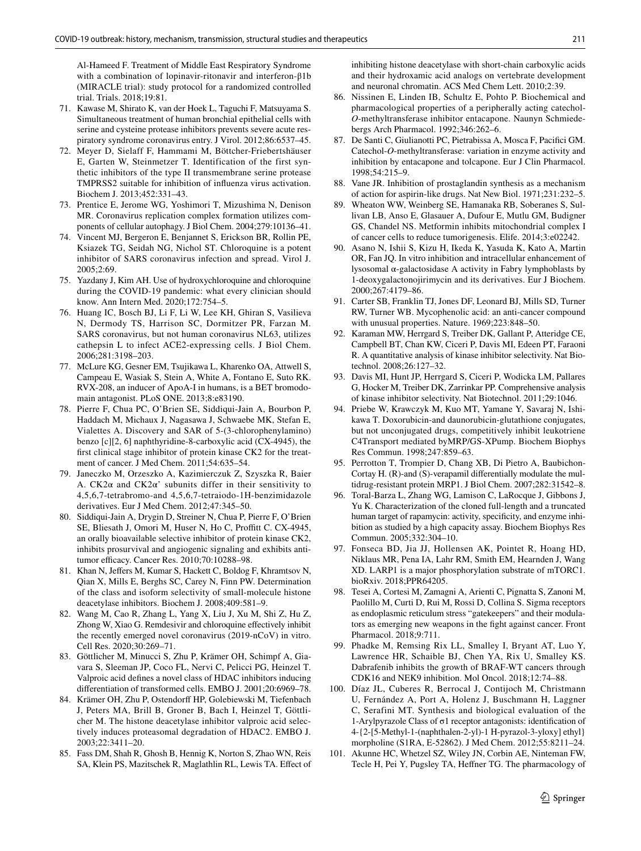Al-Hameed F. Treatment of Middle East Respiratory Syndrome with a combination of lopinavir-ritonavir and interferon-β1b (MIRACLE trial): study protocol for a randomized controlled trial. Trials. 2018;19:81.

- <span id="page-12-0"></span> 71. Kawase M, Shirato K, van der Hoek L, Taguchi F, Matsuyama S. Simultaneous treatment of human bronchial epithelial cells with serine and cysteine protease inhibitors prevents severe acute respiratory syndrome coronavirus entry. J Virol. 2012;86:6537–45.
- <span id="page-12-1"></span> 72. Meyer D, Sielaff F, Hammami M, Böttcher-Friebertshäuser E, Garten W, Steinmetzer T. Identification of the first synthetic inhibitors of the type II transmembrane serine protease TMPRSS2 suitable for inhibition of influenza virus activation. Biochem J. 2013;452:331–43.
- <span id="page-12-2"></span> 73. Prentice E, Jerome WG, Yoshimori T, Mizushima N, Denison MR. Coronavirus replication complex formation utilizes components of cellular autophagy. J Biol Chem. 2004;279:10136–41.
- <span id="page-12-3"></span> 74. Vincent MJ, Bergeron E, Benjannet S, Erickson BR, Rollin PE, Ksiazek TG, Seidah NG, Nichol ST. Chloroquine is a potent inhibitor of SARS coronavirus infection and spread. Virol J. 2005;2:69.
- <span id="page-12-4"></span> 75. Yazdany J, Kim AH. Use of hydroxychloroquine and chloroquine during the COVID-19 pandemic: what every clinician should know. Ann Intern Med. 2020;172:754–5.
- <span id="page-12-5"></span> 76. Huang IC, Bosch BJ, Li F, Li W, Lee KH, Ghiran S, Vasilieva N, Dermody TS, Harrison SC, Dormitzer PR, Farzan M. SARS coronavirus, but not human coronavirus NL63, utilizes cathepsin L to infect ACE2-expressing cells. J Biol Chem. 2006;281:3198–203.
- <span id="page-12-6"></span> 77. McLure KG, Gesner EM, Tsujikawa L, Kharenko OA, Attwell S, Campeau E, Wasiak S, Stein A, White A, Fontano E, Suto RK. RVX-208, an inducer of ApoA-I in humans, is a BET bromodomain antagonist. PLoS ONE. 2013;8:e83190.
- <span id="page-12-7"></span> 78. Pierre F, Chua PC, O'Brien SE, Siddiqui-Jain A, Bourbon P, Haddach M, Michaux J, Nagasawa J, Schwaebe MK, Stefan E, Vialettes A. Discovery and SAR of 5-(3-chlorophenylamino) benzo [c][2, 6] naphthyridine-8-carboxylic acid (CX-4945), the first clinical stage inhibitor of protein kinase CK2 for the treatment of cancer. J Med Chem. 2011;54:635–54.
- <span id="page-12-8"></span> 79. Janeczko M, Orzeszko A, Kazimierczuk Z, Szyszka R, Baier A.  $CK2\alpha$  and  $CK2\alpha'$  subunits differ in their sensitivity to 4,5,6,7-tetrabromo-and 4,5,6,7-tetraiodo-1H-benzimidazole derivatives. Eur J Med Chem. 2012;47:345–50.
- <span id="page-12-9"></span> 80. Siddiqui-Jain A, Drygin D, Streiner N, Chua P, Pierre F, O'Brien SE, Bliesath J, Omori M, Huser N, Ho C, Proffitt C. CX-4945, an orally bioavailable selective inhibitor of protein kinase CK2, inhibits prosurvival and angiogenic signaling and exhibits antitumor efficacy. Cancer Res. 2010;70:10288–98.
- <span id="page-12-10"></span> 81. Khan N, Jeffers M, Kumar S, Hackett C, Boldog F, Khramtsov N, Qian X, Mills E, Berghs SC, Carey N, Finn PW. Determination of the class and isoform selectivity of small-molecule histone deacetylase inhibitors. Biochem J. 2008;409:581–9.
- <span id="page-12-11"></span> 82. Wang M, Cao R, Zhang L, Yang X, Liu J, Xu M, Shi Z, Hu Z, Zhong W, Xiao G. Remdesivir and chloroquine effectively inhibit the recently emerged novel coronavirus (2019-nCoV) in vitro. Cell Res. 2020;30:269–71.
- <span id="page-12-12"></span> 83. Göttlicher M, Minucci S, Zhu P, Krämer OH, Schimpf A, Giavara S, Sleeman JP, Coco FL, Nervi C, Pelicci PG, Heinzel T. Valproic acid defines a novel class of HDAC inhibitors inducing differentiation of transformed cells. EMBO J. 2001;20:6969–78.
- 84. Krämer OH, Zhu P, Ostendorff HP, Golebiewski M, Tiefenbach J, Peters MA, Brill B, Groner B, Bach I, Heinzel T, Göttlicher M. The histone deacetylase inhibitor valproic acid selectively induces proteasomal degradation of HDAC2. EMBO J. 2003;22:3411–20.
- <span id="page-12-13"></span> 85. Fass DM, Shah R, Ghosh B, Hennig K, Norton S, Zhao WN, Reis SA, Klein PS, Mazitschek R, Maglathlin RL, Lewis TA. Effect of

inhibiting histone deacetylase with short-chain carboxylic acids and their hydroxamic acid analogs on vertebrate development and neuronal chromatin. ACS Med Chem Lett. 2010;2:39.

- <span id="page-12-14"></span> 86. Nissinen E, Linden IB, Schultz E, Pohto P. Biochemical and pharmacological properties of a peripherally acting catechol-*O*-methyltransferase inhibitor entacapone. Naunyn Schmiedebergs Arch Pharmacol. 1992;346:262–6.
- <span id="page-12-15"></span> 87. De Santi C, Giulianotti PC, Pietrabissa A, Mosca F, Pacifici GM. Catechol-*O*-methyltransferase: variation in enzyme activity and inhibition by entacapone and tolcapone. Eur J Clin Pharmacol. 1998;54:215–9.
- <span id="page-12-16"></span> 88. Vane JR. Inhibition of prostaglandin synthesis as a mechanism of action for aspirin-like drugs. Nat New Biol. 1971;231:232–5.
- <span id="page-12-17"></span> 89. Wheaton WW, Weinberg SE, Hamanaka RB, Soberanes S, Sullivan LB, Anso E, Glasauer A, Dufour E, Mutlu GM, Budigner GS, Chandel NS. Metformin inhibits mitochondrial complex I of cancer cells to reduce tumorigenesis. Elife. 2014;3:e02242.
- <span id="page-12-18"></span> 90. Asano N, Ishii S, Kizu H, Ikeda K, Yasuda K, Kato A, Martin OR, Fan JQ. In vitro inhibition and intracellular enhancement of lysosomal α-galactosidase A activity in Fabry lymphoblasts by 1-deoxygalactonojirimycin and its derivatives. Eur J Biochem. 2000;267:4179–86.
- <span id="page-12-19"></span> 91. Carter SB, Franklin TJ, Jones DF, Leonard BJ, Mills SD, Turner RW, Turner WB. Mycophenolic acid: an anti-cancer compound with unusual properties. Nature. 1969;223:848–50.
- <span id="page-12-20"></span> 92. Karaman MW, Herrgard S, Treiber DK, Gallant P, Atteridge CE, Campbell BT, Chan KW, Ciceri P, Davis MI, Edeen PT, Faraoni R. A quantitative analysis of kinase inhibitor selectivity. Nat Biotechnol. 2008;26:127–32.
- <span id="page-12-21"></span> 93. Davis MI, Hunt JP, Herrgard S, Ciceri P, Wodicka LM, Pallares G, Hocker M, Treiber DK, Zarrinkar PP. Comprehensive analysis of kinase inhibitor selectivity. Nat Biotechnol. 2011;29:1046.
- <span id="page-12-22"></span> 94. Priebe W, Krawczyk M, Kuo MT, Yamane Y, Savaraj N, Ishikawa T. Doxorubicin-and daunorubicin-glutathione conjugates, but not unconjugated drugs, competitively inhibit leukotriene C4Transport mediated byMRP/GS-XPump. Biochem Biophys Res Commun. 1998;247:859–63.
- <span id="page-12-23"></span> 95. Perrotton T, Trompier D, Chang XB, Di Pietro A, Baubichon-Cortay H. (R)-and (S)-verapamil differentially modulate the multidrug-resistant protein MRP1. J Biol Chem. 2007;282:31542–8.
- <span id="page-12-24"></span> 96. Toral-Barza L, Zhang WG, Lamison C, LaRocque J, Gibbons J, Yu K. Characterization of the cloned full-length and a truncated human target of rapamycin: activity, specificity, and enzyme inhibition as studied by a high capacity assay. Biochem Biophys Res Commun. 2005;332:304–10.
- <span id="page-12-25"></span> 97. Fonseca BD, Jia JJ, Hollensen AK, Pointet R, Hoang HD, Niklaus MR, Pena IA, Lahr RM, Smith EM, Hearnden J, Wang XD. LARP1 is a major phosphorylation substrate of mTORC1. bioRxiv. 2018;PPR64205.
- <span id="page-12-26"></span> 98. Tesei A, Cortesi M, Zamagni A, Arienti C, Pignatta S, Zanoni M, Paolillo M, Curti D, Rui M, Rossi D, Collina S. Sigma receptors as endoplasmic reticulum stress "gatekeepers" and their modulators as emerging new weapons in the fight against cancer. Front Pharmacol. 2018;9:711.
- <span id="page-12-27"></span> 99. Phadke M, Remsing Rix LL, Smalley I, Bryant AT, Luo Y, Lawrence HR, Schaible BJ, Chen YA, Rix U, Smalley KS. Dabrafenib inhibits the growth of BRAF-WT cancers through CDK16 and NEK9 inhibition. Mol Oncol. 2018;12:74–88.
- <span id="page-12-28"></span> 100. Díaz JL, Cuberes R, Berrocal J, Contijoch M, Christmann U, Fernández A, Port A, Holenz J, Buschmann H, Laggner C, Serafini MT. Synthesis and biological evaluation of the 1-Arylpyrazole Class of σ1 receptor antagonists: identification of 4-{2-[5-Methyl-1-(naphthalen-2-yl)-1 H-pyrazol-3-yloxy] ethyl} morpholine (S1RA, E-52862). J Med Chem. 2012;55:8211–24.
- <span id="page-12-29"></span> 101. Akunne HC, Whetzel SZ, Wiley JN, Corbin AE, Ninteman FW, Tecle H, Pei Y, Pugsley TA, Heffner TG. The pharmacology of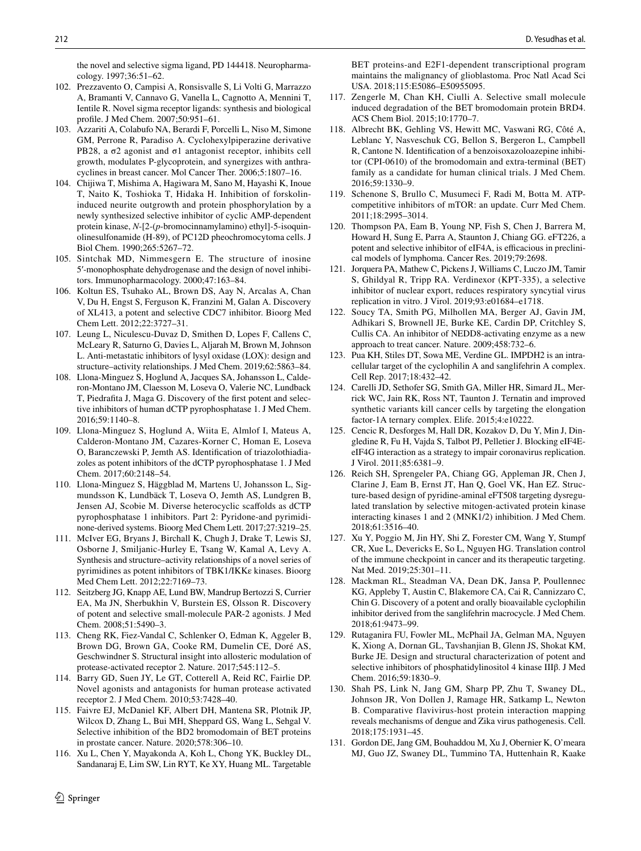the novel and selective sigma ligand, PD 144418. Neuropharmacology. 1997;36:51–62.

- <span id="page-13-1"></span> 102. Prezzavento O, Campisi A, Ronsisvalle S, Li Volti G, Marrazzo A, Bramanti V, Cannavo G, Vanella L, Cagnotto A, Mennini T, Ientile R. Novel sigma receptor ligands: synthesis and biological profile. J Med Chem. 2007;50:951–61.
- <span id="page-13-2"></span> 103. Azzariti A, Colabufo NA, Berardi F, Porcelli L, Niso M, Simone GM, Perrone R, Paradiso A. Cyclohexylpiperazine derivative PB28, a σ2 agonist and σ1 antagonist receptor, inhibits cell growth, modulates P-glycoprotein, and synergizes with anthracyclines in breast cancer. Mol Cancer Ther. 2006;5:1807–16.
- <span id="page-13-3"></span> 104. Chijiwa T, Mishima A, Hagiwara M, Sano M, Hayashi K, Inoue T, Naito K, Toshioka T, Hidaka H. Inhibition of forskolininduced neurite outgrowth and protein phosphorylation by a newly synthesized selective inhibitor of cyclic AMP-dependent protein kinase, *N*-[2-(*p*-bromocinnamylamino) ethyl]-5-isoquinolinesulfonamide (H-89), of PC12D pheochromocytoma cells. J Biol Chem. 1990;265:5267–72.
- <span id="page-13-4"></span> 105. Sintchak MD, Nimmesgern E. The structure of inosine 5′-monophosphate dehydrogenase and the design of novel inhibitors. Immunopharmacology. 2000;47:163–84.
- <span id="page-13-5"></span> 106. Koltun ES, Tsuhako AL, Brown DS, Aay N, Arcalas A, Chan V, Du H, Engst S, Ferguson K, Franzini M, Galan A. Discovery of XL413, a potent and selective CDC7 inhibitor. Bioorg Med Chem Lett. 2012;22:3727–31.
- <span id="page-13-6"></span> 107. Leung L, Niculescu-Duvaz D, Smithen D, Lopes F, Callens C, McLeary R, Saturno G, Davies L, Aljarah M, Brown M, Johnson L. Anti-metastatic inhibitors of lysyl oxidase (LOX): design and structure–activity relationships. J Med Chem. 2019;62:5863–84.
- <span id="page-13-7"></span> 108. Llona-Minguez S, Hoglund A, Jacques SA, Johansson L, Calderon-Montano JM, Claesson M, Loseva O, Valerie NC, Lundback T, Piedrafita J, Maga G. Discovery of the first potent and selective inhibitors of human dCTP pyrophosphatase 1. J Med Chem. 2016;59:1140–8.
- <span id="page-13-8"></span> 109. Llona-Minguez S, Hoglund A, Wiita E, Almlof I, Mateus A, Calderon-Montano JM, Cazares-Korner C, Homan E, Loseva O, Baranczewski P, Jemth AS. Identification of triazolothiadiazoles as potent inhibitors of the dCTP pyrophosphatase 1. J Med Chem. 2017;60:2148–54.
- <span id="page-13-9"></span> 110. Llona-Minguez S, Häggblad M, Martens U, Johansson L, Sigmundsson K, Lundbäck T, Loseva O, Jemth AS, Lundgren B, Jensen AJ, Scobie M. Diverse heterocyclic scaffolds as dCTP pyrophosphatase 1 inhibitors. Part 2: Pyridone-and pyrimidinone-derived systems. Bioorg Med Chem Lett. 2017;27:3219–25.
- <span id="page-13-10"></span> 111. McIver EG, Bryans J, Birchall K, Chugh J, Drake T, Lewis SJ, Osborne J, Smiljanic-Hurley E, Tsang W, Kamal A, Levy A. Synthesis and structure–activity relationships of a novel series of pyrimidines as potent inhibitors of TBK1/IKKε kinases. Bioorg Med Chem Lett. 2012;22:7169–73.
- <span id="page-13-11"></span> 112. Seitzberg JG, Knapp AE, Lund BW, Mandrup Bertozzi S, Currier EA, Ma JN, Sherbukhin V, Burstein ES, Olsson R. Discovery of potent and selective small-molecule PAR-2 agonists. J Med Chem. 2008;51:5490–3.
- <span id="page-13-12"></span> 113. Cheng RK, Fiez-Vandal C, Schlenker O, Edman K, Aggeler B, Brown DG, Brown GA, Cooke RM, Dumelin CE, Doré AS, Geschwindner S. Structural insight into allosteric modulation of protease-activated receptor 2. Nature. 2017;545:112–5.
- <span id="page-13-13"></span> 114. Barry GD, Suen JY, Le GT, Cotterell A, Reid RC, Fairlie DP. Novel agonists and antagonists for human protease activated receptor 2. J Med Chem. 2010;53:7428–40.
- <span id="page-13-14"></span> 115. Faivre EJ, McDaniel KF, Albert DH, Mantena SR, Plotnik JP, Wilcox D, Zhang L, Bui MH, Sheppard GS, Wang L, Sehgal V. Selective inhibition of the BD2 bromodomain of BET proteins in prostate cancer. Nature. 2020;578:306–10.
- <span id="page-13-15"></span> 116. Xu L, Chen Y, Mayakonda A, Koh L, Chong YK, Buckley DL, Sandanaraj E, Lim SW, Lin RYT, Ke XY, Huang ML. Targetable

 $\circled{2}$  Springer

BET proteins-and E2F1-dependent transcriptional program maintains the malignancy of glioblastoma. Proc Natl Acad Sci USA. 2018;115:E5086–E50955095.

- <span id="page-13-16"></span> 117. Zengerle M, Chan KH, Ciulli A. Selective small molecule induced degradation of the BET bromodomain protein BRD4. ACS Chem Biol. 2015;10:1770–7.
- <span id="page-13-17"></span> 118. Albrecht BK, Gehling VS, Hewitt MC, Vaswani RG, Côté A, Leblanc Y, Nasveschuk CG, Bellon S, Bergeron L, Campbell R, Cantone N. Identification of a benzoisoxazoloazepine inhibitor (CPI-0610) of the bromodomain and extra-terminal (BET) family as a candidate for human clinical trials. J Med Chem. 2016;59:1330–9.
- <span id="page-13-18"></span> 119. Schenone S, Brullo C, Musumeci F, Radi M, Botta M. ATPcompetitive inhibitors of mTOR: an update. Curr Med Chem. 2011;18:2995–3014.
- <span id="page-13-19"></span> 120. Thompson PA, Eam B, Young NP, Fish S, Chen J, Barrera M, Howard H, Sung E, Parra A, Staunton J, Chiang GG. eFT226, a potent and selective inhibitor of eIF4A, is efficacious in preclinical models of lymphoma. Cancer Res. 2019;79:2698.
- <span id="page-13-20"></span> 121. Jorquera PA, Mathew C, Pickens J, Williams C, Luczo JM, Tamir S, Ghildyal R, Tripp RA. Verdinexor (KPT-335), a selective inhibitor of nuclear export, reduces respiratory syncytial virus replication in vitro. J Virol. 2019;93:e01684–e1718.
- <span id="page-13-21"></span> 122. Soucy TA, Smith PG, Milhollen MA, Berger AJ, Gavin JM, Adhikari S, Brownell JE, Burke KE, Cardin DP, Critchley S, Cullis CA. An inhibitor of NEDD8-activating enzyme as a new approach to treat cancer. Nature. 2009;458:732–6.
- <span id="page-13-22"></span> 123. Pua KH, Stiles DT, Sowa ME, Verdine GL. IMPDH2 is an intracellular target of the cyclophilin A and sanglifehrin A complex. Cell Rep. 2017;18:432–42.
- <span id="page-13-23"></span> 124. Carelli JD, Sethofer SG, Smith GA, Miller HR, Simard JL, Merrick WC, Jain RK, Ross NT, Taunton J. Ternatin and improved synthetic variants kill cancer cells by targeting the elongation factor-1A ternary complex. Elife. 2015;4:e10222.
- <span id="page-13-24"></span> 125. Cencic R, Desforges M, Hall DR, Kozakov D, Du Y, Min J, Dingledine R, Fu H, Vajda S, Talbot PJ, Pelletier J. Blocking eIF4EeIF4G interaction as a strategy to impair coronavirus replication. J Virol. 2011;85:6381–9.
- <span id="page-13-25"></span> 126. Reich SH, Sprengeler PA, Chiang GG, Appleman JR, Chen J, Clarine J, Eam B, Ernst JT, Han Q, Goel VK, Han EZ. Structure-based design of pyridine-aminal eFT508 targeting dysregulated translation by selective mitogen-activated protein kinase interacting kinases 1 and 2 (MNK1/2) inhibition. J Med Chem. 2018;61:3516–40.
- <span id="page-13-26"></span> 127. Xu Y, Poggio M, Jin HY, Shi Z, Forester CM, Wang Y, Stumpf CR, Xue L, Devericks E, So L, Nguyen HG. Translation control of the immune checkpoint in cancer and its therapeutic targeting. Nat Med. 2019;25:301–11.
- <span id="page-13-27"></span> 128. Mackman RL, Steadman VA, Dean DK, Jansa P, Poullennec KG, Appleby T, Austin C, Blakemore CA, Cai R, Cannizzaro C, Chin G. Discovery of a potent and orally bioavailable cyclophilin inhibitor derived from the sanglifehrin macrocycle. J Med Chem. 2018;61:9473–99.
- <span id="page-13-28"></span> 129. Rutaganira FU, Fowler ML, McPhail JA, Gelman MA, Nguyen K, Xiong A, Dornan GL, Tavshanjian B, Glenn JS, Shokat KM, Burke JE. Design and structural characterization of potent and selective inhibitors of phosphatidylinositol 4 kinase IIIβ. J Med Chem. 2016;59:1830–9.
- <span id="page-13-29"></span> 130. Shah PS, Link N, Jang GM, Sharp PP, Zhu T, Swaney DL, Johnson JR, Von Dollen J, Ramage HR, Satkamp L, Newton B. Comparative flavivirus-host protein interaction mapping reveals mechanisms of dengue and Zika virus pathogenesis. Cell. 2018;175:1931–45.
- <span id="page-13-0"></span> 131. Gordon DE, Jang GM, Bouhaddou M, Xu J, Obernier K, O'meara MJ, Guo JZ, Swaney DL, Tummino TA, Huttenhain R, Kaake